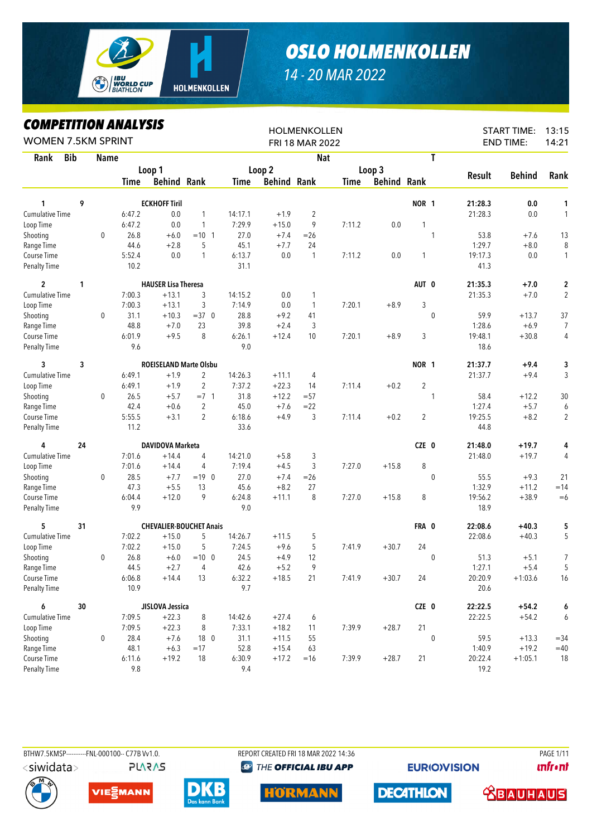

## *OSLO HOLMENKOLLEN*

## *14 - 20 MAR 2022*

## *COMPETITION ANALYSIS*

| LUMPEIIIIUN ANALYƏIƏ<br><b>WOMEN 7.5KM SPRINT</b> |    |              |             |                                |                |         |                    | <b>HOLMENKOLLEN</b><br>FRI 18 MAR 2022 |        |                    |                |             |         | <b>START TIME:</b><br><b>END TIME:</b> | 13:15<br>14:21 |
|---------------------------------------------------|----|--------------|-------------|--------------------------------|----------------|---------|--------------------|----------------------------------------|--------|--------------------|----------------|-------------|---------|----------------------------------------|----------------|
| <b>Bib</b><br>Rank                                |    | Name         |             |                                |                |         |                    | <b>Nat</b>                             |        |                    |                | T           |         |                                        |                |
|                                                   |    |              |             | Loop 1                         |                |         | Loop 2             |                                        |        | Loop 3             |                |             |         |                                        |                |
|                                                   |    |              | <b>Time</b> | <b>Behind Rank</b>             |                | Time    | <b>Behind Rank</b> |                                        | Time   | <b>Behind Rank</b> |                |             | Result  | <b>Behind</b>                          | Rank           |
| 1                                                 | 9  |              |             | <b>ECKHOFF Tiril</b>           |                |         |                    |                                        |        |                    | NOR 1          |             | 21:28.3 | 0.0                                    | 1              |
| <b>Cumulative Time</b>                            |    |              | 6:47.2      | 0.0                            | 1              | 14:17.1 | $+1.9$             | $\overline{2}$                         |        |                    |                |             | 21:28.3 | 0.0                                    | $\mathbf{1}$   |
| Loop Time                                         |    |              | 6:47.2      | 0.0                            | $\mathbf{1}$   | 7:29.9  | $+15.0$            | 9                                      | 7:11.2 | 0.0                | 1              |             |         |                                        |                |
| Shooting                                          |    | $\mathbf{0}$ | 26.8        | $+6.0$                         | $= 10 \quad 1$ | 27.0    | $+7.4$             | $= 26$                                 |        |                    |                | 1           | 53.8    | $+7.6$                                 | 13             |
| Range Time                                        |    |              | 44.6        | $+2.8$                         | 5              | 45.1    | $+7.7$             | 24                                     |        |                    |                |             | 1:29.7  | $+8.0$                                 | 8              |
| Course Time                                       |    |              | 5:52.4      | 0.0                            | $\mathbf{1}$   | 6:13.7  | 0.0                | $\mathbf{1}$                           | 7:11.2 | 0.0                | 1              |             | 19:17.3 | 0.0                                    | $\mathbf{1}$   |
| <b>Penalty Time</b>                               |    |              | 10.2        |                                |                | 31.1    |                    |                                        |        |                    |                |             | 41.3    |                                        |                |
| $\overline{c}$                                    | 1  |              |             | <b>HAUSER Lisa Theresa</b>     |                |         |                    |                                        |        |                    | AUT 0          |             | 21:35.3 | $+7.0$                                 | 2              |
| Cumulative Time                                   |    |              | 7:00.3      | $+13.1$                        | 3              | 14:15.2 | 0.0                | 1                                      |        |                    |                |             | 21:35.3 | $+7.0$                                 | $\sqrt{2}$     |
| Loop Time                                         |    |              | 7:00.3      | $+13.1$                        | 3              | 7:14.9  | 0.0                | $\mathbf{1}$                           | 7:20.1 | $+8.9$             | 3              |             |         |                                        |                |
| Shooting                                          |    | 0            | 31.1        | $+10.3$                        | $=37$ 0        | 28.8    | $+9.2$             | 41                                     |        |                    |                | 0           | 59.9    | $+13.7$                                | 37             |
| Range Time                                        |    |              | 48.8        | $+7.0$                         | 23             | 39.8    | $+2.4$             | 3                                      |        |                    |                |             | 1:28.6  | $+6.9$                                 | $\overline{7}$ |
| Course Time                                       |    |              | 6:01.9      | $+9.5$                         | 8              | 6:26.1  | $+12.4$            | 10                                     | 7:20.1 | $+8.9$             | 3              |             | 19:48.1 | $+30.8$                                | 4              |
| <b>Penalty Time</b>                               |    |              | 9.6         |                                |                | 9.0     |                    |                                        |        |                    |                |             | 18.6    |                                        |                |
| 3                                                 | 3  |              |             | <b>ROEISELAND Marte Olsbu</b>  |                |         |                    |                                        |        |                    | <b>NOR 1</b>   |             | 21:37.7 | $+9.4$                                 | 3              |
| <b>Cumulative Time</b>                            |    |              | 6:49.1      | $+1.9$                         | 2              | 14:26.3 | $+11.1$            | 4                                      |        |                    |                |             | 21:37.7 | $+9.4$                                 | 3              |
| Loop Time                                         |    |              | 6:49.1      | $+1.9$                         | $\overline{2}$ | 7:37.2  | $+22.3$            | 14                                     | 7:11.4 | $+0.2$             | $\overline{2}$ |             |         |                                        |                |
| Shooting                                          |    | $\mathbf 0$  | 26.5        | $+5.7$                         | $=7.1$         | 31.8    | $+12.2$            | $= 57$                                 |        |                    |                | 1           | 58.4    | $+12.2$                                | 30             |
| Range Time                                        |    |              | 42.4        | $+0.6$                         | $\overline{2}$ | 45.0    | $+7.6$             | $= 22$                                 |        |                    |                |             | 1:27.4  | $+5.7$                                 | 6              |
| Course Time                                       |    |              | 5:55.5      | $+3.1$                         | $\overline{2}$ | 6:18.6  | $+4.9$             | 3                                      | 7:11.4 | $+0.2$             | 2              |             | 19:25.5 | $+8.2$                                 | $\overline{2}$ |
| <b>Penalty Time</b>                               |    |              | 11.2        |                                |                | 33.6    |                    |                                        |        |                    |                |             | 44.8    |                                        |                |
| 4                                                 | 24 |              |             | DAVIDOVA Marketa               |                |         |                    |                                        |        |                    | CZE 0          |             | 21:48.0 | $+19.7$                                | 4              |
| Cumulative Time                                   |    |              | 7:01.6      | $+14.4$                        | 4              | 14:21.0 | $+5.8$             | 3                                      |        |                    |                |             | 21:48.0 | $+19.7$                                | 4              |
| Loop Time                                         |    |              | 7:01.6      | $+14.4$                        | 4              | 7:19.4  | $+4.5$             | 3                                      | 7:27.0 | $+15.8$            | 8              |             |         |                                        |                |
| Shooting                                          |    | 0            | 28.5        | $+7.7$                         | $=19$ 0        | 27.0    | $+7.4$             | $=26$                                  |        |                    |                | 0           | 55.5    | $+9.3$                                 | 21             |
| Range Time                                        |    |              | 47.3        | $+5.5$                         | 13             | 45.6    | $+8.2$             | 27                                     |        |                    |                |             | 1:32.9  | $+11.2$                                | $=14$          |
| Course Time                                       |    |              | 6:04.4      | $+12.0$                        | 9              | 6:24.8  | $+11.1$            | 8                                      | 7:27.0 | $+15.8$            | 8              |             | 19:56.2 | $+38.9$                                | $=6$           |
| <b>Penalty Time</b>                               |    |              | 9.9         |                                |                | 9.0     |                    |                                        |        |                    |                |             | 18.9    |                                        |                |
| 5                                                 | 31 |              |             | <b>CHEVALIER-BOUCHET Anais</b> |                |         |                    |                                        |        |                    | FRA 0          |             | 22:08.6 | $+40.3$                                | 5              |
| <b>Cumulative Time</b>                            |    |              | 7:02.2      | $+15.0$                        | 5              | 14:26.7 | $+11.5$            | 5                                      |        |                    |                |             | 22:08.6 | $+40.3$                                | 5              |
| Loop Time                                         |    |              | 7:02.2      | $+15.0$                        | 5              | 7:24.5  | $+9.6$             | 5                                      | 7:41.9 | $+30.7$            | 24             |             |         |                                        |                |
| Shooting                                          |    | $\mathbf 0$  | 26.8        | $+6.0$                         | $=10$ 0        | 24.5    | $+4.9$             | 12                                     |        |                    |                | $\mathbf 0$ | 51.3    | $+5.1$                                 | 7              |
| Range Time                                        |    |              | 44.5        | $+2.7$                         | 4              | 42.6    | $+5.2$             | 9                                      |        |                    |                |             | 1:27.1  | $+5.4$                                 | 5              |
| Course Time                                       |    |              | 6:06.8      | $+14.4$                        | 13             | 6:32.2  | $+18.5$            | $21$                                   | 7:41.9 | $+30.7$            | 24             |             | 20:20.9 | $+1:03.6$                              | 16             |
| <b>Penalty Time</b>                               |    |              | 10.9        |                                |                | 9.7     |                    |                                        |        |                    |                |             | 20.6    |                                        |                |
| 6                                                 | 30 |              |             | JISLOVA Jessica                |                |         |                    |                                        |        |                    | CZE 0          |             | 22:22.5 | $+54.2$                                | 6              |
| Cumulative Time                                   |    |              | 7:09.5      | $+22.3$                        | 8              | 14:42.6 | $+27.4$            | 6                                      |        |                    |                |             | 22:22.5 | $+54.2$                                | 6              |
| Loop Time                                         |    |              | 7:09.5      | $+22.3$                        | 8              | 7:33.1  | $+18.2$            | 11                                     | 7:39.9 | $+28.7$            | 21             |             |         |                                        |                |
| Shooting                                          |    | $\mathbf 0$  | 28.4        | $+7.6$                         | 18 0           | 31.1    | $+11.5$            | 55                                     |        |                    |                | $\pmb{0}$   | 59.5    | $+13.3$                                | $= 34$         |
| Range Time                                        |    |              | 48.1        | $+6.3$                         | $=17$          | 52.8    | $+15.4$            | 63                                     |        |                    |                |             | 1:40.9  | $+19.2$                                | $=40$          |
| Course Time                                       |    |              | 6:11.6      | $+19.2$                        | 18             | 6:30.9  | $+17.2$            | $=16$                                  | 7:39.9 | $+28.7$            | 21             |             | 20:22.4 | $+1:05.1$                              | 18             |
| <b>Penalty Time</b>                               |    |              | $9.8\,$     |                                |                | 9.4     |                    |                                        |        |                    |                |             | 19.2    |                                        |                |



**PLARAS** 

BTHW7.5KMSP-----------FNL-000100-- C77B Vv1.0. REPORT CREATED FRI 18 MAR 2022 14:36 PAGE 1/11**@ THE OFFICIAL IBU APP** 

**EURIO)VISION** 

**unfront** 









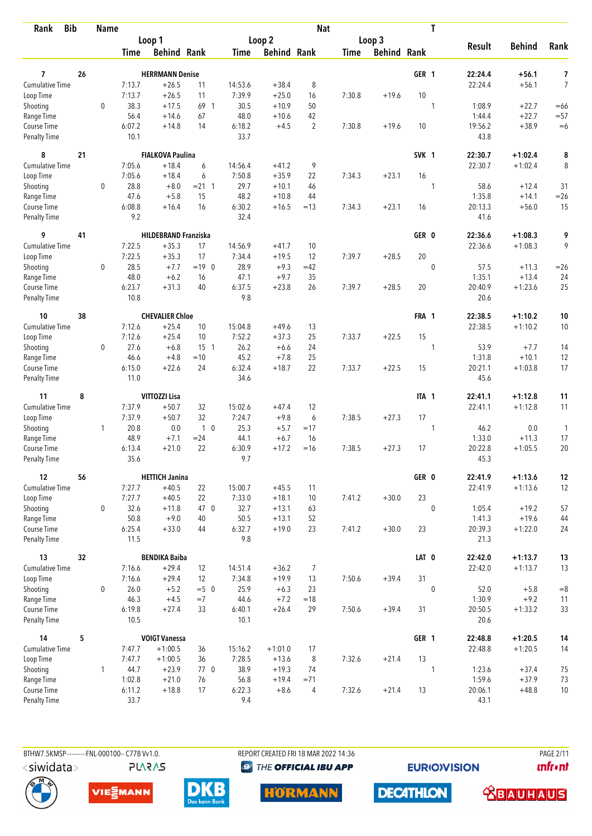| <b>Bib</b><br>Rank                       |    | <b>Name</b> |                  |                             |                |                   |                    | <b>Nat</b>     |        |                    |       | T           |                    |                    |                     |
|------------------------------------------|----|-------------|------------------|-----------------------------|----------------|-------------------|--------------------|----------------|--------|--------------------|-------|-------------|--------------------|--------------------|---------------------|
|                                          |    |             |                  | Loop 1                      |                |                   | Loop 2             |                |        | Loop 3             |       |             |                    |                    |                     |
|                                          |    |             | Time             | <b>Behind Rank</b>          |                | Time              | <b>Behind Rank</b> |                | Time   | <b>Behind Rank</b> |       |             | <b>Result</b>      | <b>Behind</b>      | Rank                |
|                                          |    |             |                  |                             |                |                   |                    |                |        |                    |       |             |                    |                    |                     |
| $\overline{7}$<br><b>Cumulative Time</b> | 26 |             |                  | <b>HERRMANN Denise</b>      | 11             |                   |                    | 8              |        |                    | GER 1 |             | 22:24.4<br>22:24.4 | $+56.1$<br>$+56.1$ | 7<br>$\overline{7}$ |
| Loop Time                                |    |             | 7:13.7<br>7:13.7 | $+26.5$<br>$+26.5$          | 11             | 14:53.6<br>7:39.9 | $+38.4$<br>$+25.0$ | 16             | 7:30.8 | $+19.6$            | 10    |             |                    |                    |                     |
| Shooting                                 |    | $\mathbf 0$ | 38.3             | $+17.5$                     | 69 1           | 30.5              | $+10.9$            | 50             |        |                    |       | 1           | 1:08.9             | $+22.7$            | $=66$               |
| Range Time                               |    |             | 56.4             | $+14.6$                     | 67             | 48.0              | $+10.6$            | 42             |        |                    |       |             | 1:44.4             | $+22.7$            | $= 57$              |
| Course Time                              |    |             | 6:07.2           | $+14.8$                     | 14             | 6:18.2            | $+4.5$             | $\overline{2}$ | 7:30.8 | $+19.6$            | 10    |             | 19:56.2            | $+38.9$            | $=6$                |
| Penalty Time                             |    |             | 10.1             |                             |                | 33.7              |                    |                |        |                    |       |             | 43.8               |                    |                     |
| 8                                        | 21 |             |                  | <b>FIALKOVA Paulina</b>     |                |                   |                    |                |        |                    | SVK 1 |             | 22:30.7            | $+1:02.4$          | 8                   |
| Cumulative Time                          |    |             | 7:05.6           | $+18.4$                     | 6              | 14:56.4           | $+41.2$            | 9              |        |                    |       |             | 22:30.7            | $+1:02.4$          | 8                   |
| Loop Time                                |    |             | 7:05.6           | $+18.4$                     | 6              | 7:50.8            | $+35.9$            | 22             | 7:34.3 | $+23.1$            | 16    |             |                    |                    |                     |
| Shooting                                 |    | 0           | 28.8             | $+8.0$                      | $= 21 \quad 1$ | 29.7              | $+10.1$            | 46             |        |                    |       | 1           | 58.6               | $+12.4$            | 31                  |
| Range Time                               |    |             | 47.6             | $+5.8$                      | 15             | 48.2              | $+10.8$            | 44             |        |                    |       |             | 1:35.8             | $+14.1$            | $=26$               |
| Course Time                              |    |             | 6:08.8           | $+16.4$                     | 16             | 6:30.2            | $+16.5$            | $=13$          | 7:34.3 | $+23.1$            | 16    |             | 20:13.3            | $+56.0$            | 15                  |
| Penalty Time                             |    |             | 9.2              |                             |                | 32.4              |                    |                |        |                    |       |             | 41.6               |                    |                     |
| 9                                        | 41 |             |                  | <b>HILDEBRAND Franziska</b> |                |                   |                    |                |        |                    | GER 0 |             | 22:36.6            | $+1:08.3$          | 9                   |
| <b>Cumulative Time</b>                   |    |             | 7:22.5           | $+35.3$                     | 17             | 14:56.9           | $+41.7$            | 10             |        |                    |       |             | 22:36.6            | $+1:08.3$          | 9                   |
| Loop Time                                |    |             | 7:22.5           | $+35.3$                     | 17             | 7:34.4            | $+19.5$            | 12             | 7:39.7 | $+28.5$            | 20    |             |                    |                    |                     |
| Shooting                                 |    | 0           | 28.5             | $+7.7$                      | $=19$ 0        | 28.9              | $+9.3$             | $=42$          |        |                    |       | $\mathbf 0$ | 57.5               | $+11.3$            | $=26$               |
| Range Time                               |    |             | 48.0             | $+6.2$                      | 16             | 47.1              | $+9.7$             | 35             |        |                    |       |             | 1:35.1             | $+13.4$            | 24                  |
| Course Time<br>Penalty Time              |    |             | 6:23.7<br>10.8   | $+31.3$                     | 40             | 6:37.5<br>9.8     | $+23.8$            | 26             | 7:39.7 | $+28.5$            | 20    |             | 20:40.9<br>20.6    | $+1:23.6$          | 25                  |
| 10                                       | 38 |             |                  | <b>CHEVALIER Chloe</b>      |                |                   |                    |                |        |                    | FRA 1 |             | 22:38.5            | $+1:10.2$          | 10                  |
| Cumulative Time                          |    |             | 7:12.6           | $+25.4$                     | 10             | 15:04.8           | $+49.6$            | 13             |        |                    |       |             | 22:38.5            | $+1:10.2$          | 10                  |
| Loop Time                                |    |             | 7:12.6           | $+25.4$                     | 10             | 7:52.2            | $+37.3$            | 25             | 7:33.7 | $+22.5$            | 15    |             |                    |                    |                     |
| Shooting                                 |    | 0           | 27.6             | $+6.8$                      | $15-1$         | 26.2              | $+6.6$             | 24             |        |                    |       | 1           | 53.9               | $+7.7$             | 14                  |
| Range Time                               |    |             | 46.6             | $+4.8$                      | $=10$          | 45.2              | $+7.8$             | 25             |        |                    |       |             | 1:31.8             | $+10.1$            | 12                  |
| Course Time                              |    |             | 6:15.0           | $+22.6$                     | 24             | 6:32.4            | $+18.7$            | 22             | 7:33.7 | $+22.5$            | 15    |             | 20:21.1            | $+1:03.8$          | 17                  |
| <b>Penalty Time</b>                      |    |             | 11.0             |                             |                | 34.6              |                    |                |        |                    |       |             | 45.6               |                    |                     |
| 11                                       | 8  |             |                  | VITTOZZI Lisa               |                |                   |                    |                |        |                    | ITA 1 |             | 22:41.1            | $+1:12.8$          | 11                  |
| <b>Cumulative Time</b>                   |    |             | 7:37.9           | $+50.7$                     | 32             | 15:02.6           | $+47.4$            | 12             |        |                    |       |             | 22:41.1            | $+1:12.8$          | 11                  |
| Loop Time                                |    |             | 7:37.9           | $+50.7$                     | 32             | 7:24.7            | $+9.8$             | 6              | 7:38.5 | $+27.3$            | 17    |             |                    |                    |                     |
| Shooting                                 |    | 1           | 20.8             | 0.0                         | 1 <sub>0</sub> | 25.3              | $+5.7$             | $=17$          |        |                    |       | 1           | 46.2               | 0.0                | $\mathbf{1}$        |
| Range Time                               |    |             | 48.9             | $+7.1$                      | $= 24$         | 44.1              | $+6.7$             | 16             |        |                    |       |             | 1:33.0             | $+11.3$            | 17                  |
| Course Time                              |    |             | 6:13.4           | $+21.0$                     | 22             | 6:30.9            | $+17.2$            | $=16$          | 7:38.5 | $+27.3$            | 17    |             | 20:22.8            | $+1:05.5$          | 20                  |
| Penalty Time                             |    |             | 35.6             |                             |                | 9.7               |                    |                |        |                    |       |             | 45.3               |                    |                     |
| 12                                       | 56 |             |                  | <b>HETTICH Janina</b>       |                |                   |                    |                |        |                    | GER 0 |             | 22:41.9            | $+1:13.6$          | 12                  |
| Cumulative Time                          |    |             | 7:27.7           | $+40.5$                     | 22             | 15:00.7           | $+45.5$            | 11             |        |                    |       |             | 22:41.9            | $+1:13.6$          | 12                  |
| Loop Time                                |    |             | 7:27.7           | $+40.5$                     | 22             | 7:33.0            | $+18.1$            | 10             | 7:41.2 | $+30.0$            | 23    |             |                    |                    |                     |
| Shooting                                 |    | 0           | 32.6             | $+11.8$                     | 47 0           | 32.7              | $+13.1$            | 63             |        |                    |       | $\mathbf 0$ | 1:05.4             | $+19.2$            | 57                  |
| Range Time                               |    |             | 50.8             | $+9.0$                      | 40             | 50.5              | $+13.1$            | 52             |        |                    |       |             | 1:41.3             | $+19.6$            | 44                  |
| Course Time<br>Penalty Time              |    |             | 6:25.4<br>11.5   | $+33.0$                     | 44             | 6:32.7<br>9.8     | $+19.0$            | 23             | 7:41.2 | $+30.0$            | 23    |             | 20:39.3<br>21.3    | $+1:22.0$          | 24                  |
| 13                                       | 32 |             |                  | <b>BENDIKA Baiba</b>        |                |                   |                    |                |        |                    | LAT 0 |             | 22:42.0            | $+1:13.7$          | 13                  |
| Cumulative Time                          |    |             | 7:16.6           | $+29.4$                     | 12             | 14:51.4           | $+36.2$            | $\overline{7}$ |        |                    |       |             | 22:42.0            | $+1:13.7$          | 13                  |
| Loop Time                                |    |             | 7:16.6           | $+29.4$                     | 12             | 7:34.8            | $+19.9$            | 13             | 7:50.6 | $+39.4$            | 31    |             |                    |                    |                     |
| Shooting                                 |    | 0           | 26.0             | $+5.2$                      | $=5$ 0         | 25.9              | $+6.3$             | 23             |        |                    |       | $\mathbf 0$ | 52.0               | $+5.8$             | $= 8$               |
| Range Time                               |    |             | 46.3             | $+4.5$                      | $=7$           | 44.6              | $+7.2$             | $=18$          |        |                    |       |             | 1:30.9             | $+9.2$             | 11                  |
| Course Time                              |    |             | 6:19.8           | $+27.4$                     | 33             | 6:40.1            | $+26.4$            | 29             | 7:50.6 | $+39.4$            | 31    |             | 20:50.5            | $+1:33.2$          | 33                  |
| Penalty Time                             |    |             | 10.5             |                             |                | 10.1              |                    |                |        |                    |       |             | 20.6               |                    |                     |
| 14                                       | 5  |             |                  | <b>VOIGT Vanessa</b>        |                |                   |                    |                |        |                    | GER 1 |             | 22:48.8            | $+1:20.5$          | 14                  |
| Cumulative Time                          |    |             | 7:47.7           | $+1:00.5$                   | 36             | 15:16.2           | $+1:01.0$          | 17             |        |                    |       |             | 22:48.8            | $+1:20.5$          | 14                  |
| Loop Time                                |    |             | 7:47.7           | $+1:00.5$                   | 36             | 7:28.5            | $+13.6$            | 8              | 7:32.6 | $+21.4$            | 13    |             |                    |                    |                     |
| Shooting                                 |    | 1           | 44.7             | $+23.9$                     | 770            | 38.9              | $+19.3$            | 74             |        |                    |       | 1           | 1:23.6             | $+37.4$            | 75                  |
| Range Time                               |    |             | 1:02.8           | $+21.0$                     | 76             | 56.8              | $+19.4$            | $= 71$         |        |                    |       |             | 1:59.6             | $+37.9$            | 73                  |
| Course Time                              |    |             | 6:11.2           | $+18.8$                     | 17             | 6:22.3            | $+8.6$             | 4              | 7:32.6 | $+21.4$            | 13    |             | 20:06.1            | $+48.8$            | 10                  |
| Penalty Time                             |    |             | 33.7             |                             |                | 9.4               |                    |                |        |                    |       |             | 43.1               |                    |                     |



BTHW7.5KMSP----------FNL-000100-- C77B Vv1.0.

**PLARAS** 

REPORT CREATED FRI 18 MAR 2022 14:36 <sup><sup>9</sup> THE OFFICIAL IBU APP</sup>

**EURIOVISION** 

**PAGE 2/11** *<u><u>Infront</u>*</u>









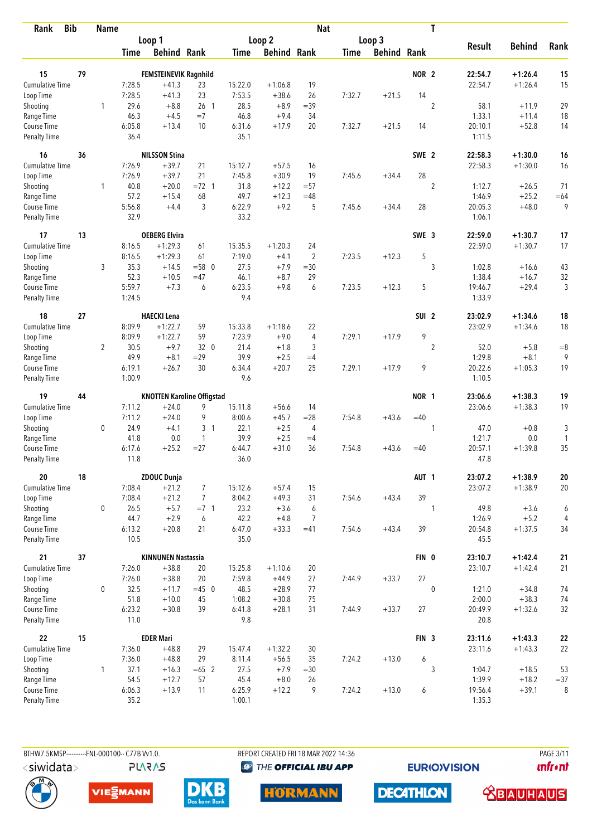| <b>Bib</b><br>Rank                 |    | <b>Name</b>    |                  |                                   |                 |                |                     | <b>Nat</b>          |             |                    |                  | T              |                   |               |                |
|------------------------------------|----|----------------|------------------|-----------------------------------|-----------------|----------------|---------------------|---------------------|-------------|--------------------|------------------|----------------|-------------------|---------------|----------------|
|                                    |    |                |                  | Loop 1                            |                 |                | Loop 2              |                     |             | Loop 3             |                  |                |                   |               |                |
|                                    |    |                | Time             | <b>Behind Rank</b>                |                 | Time           | <b>Behind Rank</b>  |                     | <b>Time</b> | <b>Behind Rank</b> |                  |                | <b>Result</b>     | <b>Behind</b> | Rank           |
| 15                                 | 79 |                |                  | <b>FEMSTEINEVIK Ragnhild</b>      |                 |                |                     |                     |             |                    | NOR <sub>2</sub> |                | 22:54.7           | $+1:26.4$     | 15             |
| <b>Cumulative Time</b>             |    |                | 7:28.5           | $+41.3$                           | 23              | 15:22.0        | $+1:06.8$           | 19                  |             |                    |                  |                | 22:54.7           | $+1:26.4$     | 15             |
| Loop Time                          |    |                | 7:28.5           | $+41.3$                           | 23              | 7:53.5         | $+38.6$             | 26                  | 7:32.7      | $+21.5$            | 14               |                |                   |               |                |
| Shooting                           |    | 1              | 29.6             | $+8.8$                            | 26 <sub>1</sub> | 28.5           | $+8.9$              | $=39$               |             |                    |                  | $\overline{2}$ | 58.1              | $+11.9$       | 29             |
| Range Time                         |    |                | 46.3             | $+4.5$                            | $=7$            | 46.8           | $+9.4$              | 34                  |             |                    |                  |                | 1:33.1            | $+11.4$       | 18             |
| Course Time                        |    |                | 6:05.8           | $+13.4$                           | 10              | 6:31.6         | $+17.9$             | 20                  | 7:32.7      | $+21.5$            | 14               |                | 20:10.1           | $+52.8$       | 14             |
| <b>Penalty Time</b>                |    |                | 36.4             |                                   |                 | 35.1           |                     |                     |             |                    |                  |                | 1:11.5            |               |                |
| 16                                 | 36 |                |                  | <b>NILSSON Stina</b>              |                 |                |                     |                     |             |                    | SWE 2            |                | 22:58.3           | $+1:30.0$     | 16             |
| Cumulative Time                    |    |                | 7:26.9           | $+39.7$                           | 21              | 15:12.7        | $+57.5$             | 16                  |             |                    |                  |                | 22:58.3           | $+1:30.0$     | 16             |
| Loop Time                          |    |                | 7:26.9           | $+39.7$                           | 21              | 7:45.8         | $+30.9$             | 19                  | 7:45.6      | $+34.4$            | 28               |                |                   |               |                |
| Shooting                           |    | $\mathbf{1}$   | 40.8             | $+20.0$                           | $= 72 \quad 1$  | 31.8           | $+12.2$             | $= 57$              |             |                    |                  | $\overline{2}$ | 1:12.7            | $+26.5$       | 71             |
| Range Time                         |    |                | 57.2             | $+15.4$                           | 68              | 49.7           | $+12.3$             | $=48$               |             |                    |                  |                | 1:46.9            | $+25.2$       | $=64$          |
| Course Time                        |    |                | 5:56.8           | $+4.4$                            | 3               | 6:22.9         | $+9.2$              | 5                   | 7:45.6      | $+34.4$            | 28               |                | 20:05.3           | $+48.0$       | 9              |
| Penalty Time                       |    |                | 32.9             |                                   |                 | 33.2           |                     |                     |             |                    |                  |                | 1:06.1            |               |                |
| 17                                 | 13 |                |                  | <b>OEBERG Elvira</b>              |                 |                |                     |                     |             |                    | SWE 3            |                | 22:59.0           | $+1:30.7$     | 17             |
| <b>Cumulative Time</b>             |    |                | 8:16.5           | $+1:29.3$                         | 61              | 15:35.5        | $+1:20.3$           | 24                  |             |                    |                  |                | 22:59.0           | $+1:30.7$     | 17             |
| Loop Time                          |    |                | 8:16.5           | $+1:29.3$                         | 61              | 7:19.0         | $+4.1$              | $\overline{2}$      | 7:23.5      | $+12.3$            | 5                |                |                   |               |                |
| Shooting                           |    | 3              | 35.3             | $+14.5$                           | $= 580$         | 27.5           | $+7.9$              | $=30$               |             |                    |                  | 3              | 1:02.8            | $+16.6$       | 43             |
| Range Time                         |    |                | 52.3             | $+10.5$                           | $=47$           | 46.1           | $+8.7$              | 29                  |             |                    |                  |                | 1:38.4            | $+16.7$       | 32             |
| Course Time<br><b>Penalty Time</b> |    |                | 5:59.7<br>1:24.5 | $+7.3$                            | 6               | 6:23.5<br>9.4  | $+9.8$              | 6                   | 7:23.5      | $+12.3$            | 5                |                | 19:46.7<br>1:33.9 | $+29.4$       | 3              |
| 18                                 | 27 |                |                  | <b>HAECKI Lena</b>                |                 |                |                     |                     |             |                    | SUI <sub>2</sub> |                | 23:02.9           |               |                |
|                                    |    |                | 8:09.9           | $+1:22.7$                         |                 | 15:33.8        |                     |                     |             |                    |                  |                | 23:02.9           | $+1:34.6$     | 18             |
| <b>Cumulative Time</b>             |    |                | 8:09.9           | $+1:22.7$                         | 59<br>59        | 7:23.9         | $+1:18.6$<br>$+9.0$ | 22                  | 7:29.1      |                    | 9                |                |                   | $+1:34.6$     | 18             |
| Loop Time                          |    | $\overline{2}$ | 30.5             | $+9.7$                            | 32 0            | 21.4           | $+1.8$              | $\overline{4}$<br>3 |             | $+17.9$            |                  | $\overline{2}$ | 52.0              | $+5.8$        | $=8$           |
| Shooting<br>Range Time             |    |                | 49.9             | $+8.1$                            | $=29$           | 39.9           | $+2.5$              | $=4$                |             |                    |                  |                | 1:29.8            | $+8.1$        | 9              |
| Course Time                        |    |                | 6:19.1           | $+26.7$                           | 30              | 6:34.4         | $+20.7$             | 25                  | 7:29.1      | $+17.9$            | 9                |                | 20:22.6           | $+1:05.3$     | 19             |
| <b>Penalty Time</b>                |    |                | 1:00.9           |                                   |                 | 9.6            |                     |                     |             |                    |                  |                | 1:10.5            |               |                |
| 19                                 | 44 |                |                  | <b>KNOTTEN Karoline Offigstad</b> |                 |                |                     |                     |             |                    | NOR 1            |                | 23:06.6           | $+1:38.3$     | 19             |
| Cumulative Time                    |    |                | 7:11.2           | $+24.0$                           | 9               | 15:11.8        | $+56.6$             | 14                  |             |                    |                  |                | 23:06.6           | $+1:38.3$     | 19             |
| Loop Time                          |    |                | 7:11.2           | $+24.0$                           | 9               | 8:00.6         | $+45.7$             | $= 28$              | 7:54.8      | $+43.6$            | $=40$            |                |                   |               |                |
| Shooting                           |    | $\mathbf 0$    | 24.9             | $+4.1$                            | 3 <sub>1</sub>  | 22.1           | $+2.5$              | 4                   |             |                    |                  | 1              | 47.0              | $+0.8$        | 3              |
| Range Time                         |    |                | 41.8             | 0.0                               | 1               | 39.9           | $+2.5$              | $=4$                |             |                    |                  |                | 1:21.7            | $0.0\,$       | 1              |
| Course Time                        |    |                | 6:17.6           | $+25.2$                           | $= 27$          | 6:44.7         | $+31.0$             | 36                  | 7:54.8      | $+43.6$            | $=40$            |                | 20:57.1           | $+1:39.8$     | 35             |
| <b>Penalty Time</b>                |    |                | 11.8             |                                   |                 | 36.0           |                     |                     |             |                    |                  |                | 47.8              |               |                |
| 20                                 | 18 |                |                  | <b>ZDOUC Dunja</b>                |                 |                |                     |                     |             |                    | AUT <sub>1</sub> |                | 23:07.2           | $+1:38.9$     | 20             |
| Cumulative Time                    |    |                | 7:08.4           | $+21.2$                           | $\overline{7}$  | 15:12.6        | $+57.4$             | 15                  |             |                    |                  |                | 23:07.2           | $+1:38.9$     | 20             |
| Loop Time                          |    |                | 7:08.4           | $+21.2$                           | $\overline{7}$  | 8:04.2         | $+49.3$             | 31                  | 7:54.6      | $+43.4$            | 39               |                |                   |               |                |
| Shooting                           |    | 0              | 26.5             | $+5.7$                            | $=7$ 1          | 23.2           | $+3.6$              | 6                   |             |                    |                  | 1              | 49.8              | $+3.6$        | 6              |
| Range Time                         |    |                | 44.7             | $+2.9$                            | 6               | 42.2           | $+4.8$              | $\overline{7}$      |             |                    |                  |                | 1:26.9            | $+5.2$        | $\overline{4}$ |
| Course Time<br>Penalty Time        |    |                | 6:13.2<br>10.5   | $+20.8$                           | 21              | 6:47.0<br>35.0 | $+33.3$             | $=41$               | 7:54.6      | $+43.4$            | 39               |                | 20:54.8<br>45.5   | $+1:37.5$     | 34             |
| 21                                 | 37 |                |                  | <b>KINNUNEN Nastassia</b>         |                 |                |                     |                     |             |                    | FIN 0            |                | 23:10.7           | $+1:42.4$     | 21             |
| <b>Cumulative Time</b>             |    |                | 7:26.0           | $+38.8$                           | 20              | 15:25.8        | $+1:10.6$           | 20                  |             |                    |                  |                | 23:10.7           | $+1:42.4$     | 21             |
| Loop Time                          |    |                | 7:26.0           | $+38.8$                           | 20              | 7:59.8         | $+44.9$             | 27                  | 7:44.9      | $+33.7$            | 27               |                |                   |               |                |
| Shooting                           |    | 0              | 32.5             | $+11.7$                           | $=45$ 0         | 48.5           | $+28.9$             | 77                  |             |                    |                  | $\mathbf 0$    | 1:21.0            | $+34.8$       | 74             |
| Range Time                         |    |                | 51.8             | $+10.0$                           | 45              | 1:08.2         | $+30.8$             | 75                  |             |                    |                  |                | 2:00.0            | $+38.3$       | 74             |
| Course Time                        |    |                | 6:23.2           | $+30.8$                           | 39              | 6:41.8         | $+28.1$             | 31                  | 7:44.9      | $+33.7$            | 27               |                | 20:49.9           | $+1:32.6$     | 32             |
| Penalty Time                       |    |                | 11.0             |                                   |                 | 9.8            |                     |                     |             |                    |                  |                | 20.8              |               |                |
| 22                                 | 15 |                |                  | <b>EDER Mari</b>                  |                 |                |                     |                     |             |                    | FIN <sub>3</sub> |                | 23:11.6           | $+1:43.3$     | ${\bf 22}$     |
| Cumulative Time                    |    |                | 7:36.0           | $+48.8$                           | 29              | 15:47.4        | $+1:32.2$           | 30                  |             |                    |                  |                | 23:11.6           | $+1:43.3$     | 22             |
| Loop Time                          |    |                | 7:36.0           | $+48.8$                           | 29              | 8:11.4         | $+56.5$             | 35                  | 7:24.2      | $+13.0$            | 6                |                |                   |               |                |
| Shooting                           |    | 1              | 37.1             | $+16.3$                           | $=65$ 2         | 27.5           | $+7.9$              | $= 30$              |             |                    |                  | 3              | 1:04.7            | $+18.5$       | 53             |
| Range Time                         |    |                | 54.5             | $+12.7$                           | 57              | 45.4           | $+8.0$              | 26                  |             |                    |                  |                | 1:39.9            | $+18.2$       | $= 37$         |
| Course Time                        |    |                | 6:06.3           | $+13.9$                           | 11              | 6:25.9         | $+12.2$             | 9                   | 7:24.2      | $+13.0$            | 6                |                | 19:56.4           | $+39.1$       | 8              |
| <b>Penalty Time</b>                |    |                | 35.2             |                                   |                 | 1:00.1         |                     |                     |             |                    |                  |                | 1:35.3            |               |                |

**PLARAS** 

BTHW7.5KMSP----------FNL-000100-- C77B Vv1.0. REPORT CREATED FRI 18 MAR 2022 14:36 PAGE 3/11 <sup><sup>9</sup> THE OFFICIAL IBU APP</sup>

**HORMANN** 

**DECATHLON** 

**EURIOVISION** 

*<u><u>Infront</u>*</u>

 **<u>CBAUHAUS</u>** 





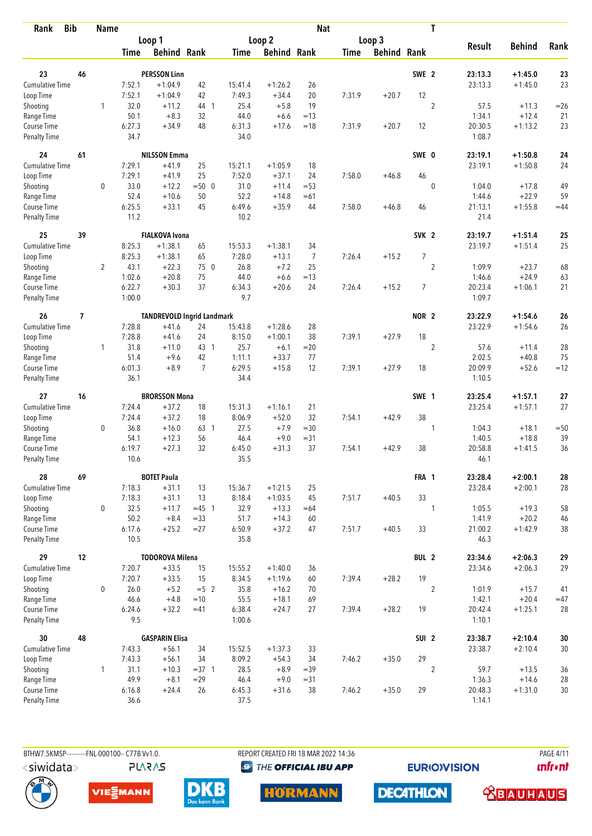| Rank                        | <b>Bib</b> | <b>Name</b>    |                |                                   |                  |                |                    | <b>Nat</b>     |        |                    |                  | T              |                   |               |        |
|-----------------------------|------------|----------------|----------------|-----------------------------------|------------------|----------------|--------------------|----------------|--------|--------------------|------------------|----------------|-------------------|---------------|--------|
|                             |            |                |                | Loop 1                            |                  |                | Loop 2             |                |        | Loop 3             |                  |                |                   |               |        |
|                             |            |                | Time           | <b>Behind Rank</b>                |                  | Time           | <b>Behind Rank</b> |                | Time   | <b>Behind Rank</b> |                  |                | <b>Result</b>     | <b>Behind</b> | Rank   |
| 23                          | 46         |                |                | <b>PERSSON Linn</b>               |                  |                |                    |                |        |                    | SWE 2            |                | 23:13.3           | $+1:45.0$     | 23     |
| Cumulative Time             |            |                | 7:52.1         | $+1:04.9$                         | 42               | 15:41.4        | $+1:26.2$          | 26             |        |                    |                  |                | 23:13.3           | $+1:45.0$     | 23     |
| Loop Time                   |            |                | 7:52.1         | $+1:04.9$                         | 42               | 7:49.3         | $+34.4$            | 20             | 7:31.9 | $+20.7$            | 12               |                |                   |               |        |
| Shooting                    |            | 1              | 32.0           | $+11.2$                           | 44 1             | 25.4           | $+5.8$             | 19             |        |                    |                  | $\overline{c}$ | 57.5              | $+11.3$       | $=26$  |
| Range Time                  |            |                | 50.1           | $+8.3$                            | 32               | 44.0           | $+6.6$             | $=13$          |        |                    |                  |                | 1:34.1            | $+12.4$       | 21     |
| Course Time                 |            |                | 6:27.3         | $+34.9$                           | 48               | 6:31.3         | $+17.6$            | $=18$          | 7:31.9 | $+20.7$            | 12               |                | 20:30.5           | $+1:13.2$     | 23     |
| Penalty Time                |            |                | 34.7           |                                   |                  | 34.0           |                    |                |        |                    |                  |                | 1:08.7            |               |        |
| 24                          | 61         |                |                | <b>NILSSON Emma</b>               |                  |                |                    |                |        |                    | SWE 0            |                | 23:19.1           | $+1:50.8$     | 24     |
| <b>Cumulative Time</b>      |            |                | 7:29.1         | $+41.9$                           | 25               | 15:21.1        | $+1:05.9$          | 18             |        |                    |                  |                | 23:19.1           | $+1:50.8$     | 24     |
| Loop Time                   |            |                | 7:29.1         | $+41.9$                           | 25               | 7:52.0         | $+37.1$            | 24             | 7:58.0 | $+46.8$            | 46               |                |                   |               |        |
| Shooting                    |            | 0              | 33.0           | $+12.2$                           | $=500$           | 31.0           | $+11.4$            | $= 53$         |        |                    |                  | $\mathbf{0}$   | 1:04.0            | $+17.8$       | 49     |
| Range Time                  |            |                | 52.4           | $+10.6$                           | 50               | 52.2           | $+14.8$            | $=61$          |        |                    |                  |                | 1:44.6            | $+22.9$       | 59     |
| Course Time                 |            |                | 6:25.5         | $+33.1$                           | 45               | 6:49.6         | $+35.9$            | 44             | 7:58.0 | $+46.8$            | 46               |                | 21:13.1           | $+1:55.8$     | $=44$  |
| Penalty Time                |            |                | 11.2           |                                   |                  | 10.2           |                    |                |        |                    |                  |                | 21.4              |               |        |
| 25                          | 39         |                |                | <b>FIALKOVA Ivona</b>             |                  |                |                    |                |        |                    | SVK <sub>2</sub> |                | 23:19.7           | $+1:51.4$     | 25     |
| <b>Cumulative Time</b>      |            |                | 8:25.3         | $+1:38.1$                         | 65               | 15:53.3        | $+1:38.1$          | 34             |        |                    |                  |                | 23:19.7           | $+1:51.4$     | 25     |
| Loop Time                   |            |                | 8:25.3         | $+1:38.1$                         | 65               | 7:28.0         | $+13.1$            | $\overline{7}$ | 7:26.4 | $+15.2$            | $\overline{7}$   |                |                   |               |        |
| Shooting                    |            | $\overline{2}$ | 43.1           | $+22.3$                           | 75 0             | 26.8           | $+7.2$             | 25             |        |                    |                  | $\overline{2}$ | 1:09.9            | $+23.7$       | 68     |
| Range Time                  |            |                | 1:02.6         | $+20.8$                           | 75               | 44.0           | $+6.6$             | $=13$          |        |                    |                  |                | 1:46.6            | $+24.9$       | 63     |
| Course Time                 |            |                | 6:22.7         | $+30.3$                           | 37               | 6:34.3         | $+20.6$            | 24             | 7:26.4 | $+15.2$            | $\overline{7}$   |                | 20:23.4           | $+1:06.1$     | 21     |
| Penalty Time                |            |                | 1:00.0         |                                   |                  | 9.7            |                    |                |        |                    |                  |                | 1:09.7            |               |        |
| 26                          | 7          |                |                | <b>TANDREVOLD Ingrid Landmark</b> |                  |                |                    |                |        |                    | NOR <sub>2</sub> |                | 23:22.9           | $+1:54.6$     | 26     |
| Cumulative Time             |            |                | 7:28.8         | $+41.6$                           | 24               | 15:43.8        | $+1:28.6$          | 28             |        |                    |                  |                | 23:22.9           | $+1:54.6$     | 26     |
| Loop Time                   |            |                | 7:28.8         | $+41.6$                           | 24               | 8:15.0         | $+1:00.1$          | 38             | 7:39.1 | $+27.9$            | 18               |                |                   |               |        |
| Shooting                    |            | $\mathbf{1}$   | 31.8           | $+11.0$                           | 43 1             | 25.7           | $+6.1$             | $= 20$         |        |                    |                  | 2              | 57.6              | $+11.4$       | 28     |
| Range Time                  |            |                | 51.4           | $+9.6$                            | 42               | 1:11.1         | $+33.7$            | 77             |        |                    |                  |                | 2:02.5            | $+40.8$       | 75     |
| Course Time                 |            |                | 6:01.3<br>36.1 | $+8.9$                            | $\overline{7}$   | 6:29.5<br>34.4 | $+15.8$            | 12             | 7:39.1 | $+27.9$            | 18               |                | 20:09.9<br>1:10.5 | $+52.6$       | $=12$  |
| <b>Penalty Time</b>         |            |                |                |                                   |                  |                |                    |                |        |                    |                  |                |                   |               |        |
| 27                          | 16         |                |                | <b>BRORSSON Mona</b>              |                  |                |                    |                |        |                    | SWE 1            |                | 23:25.4           | $+1:57.1$     | 27     |
| <b>Cumulative Time</b>      |            |                | 7:24.4         | $+37.2$                           | 18               | 15:31.3        | $+1:16.1$          | 21             |        |                    |                  |                | 23:25.4           | $+1:57.1$     | 27     |
| Loop Time                   |            |                | 7:24.4         | $+37.2$                           | 18               | 8:06.9         | $+52.0$            | 32             | 7:54.1 | $+42.9$            | 38               |                |                   |               |        |
| Shooting                    |            | $\mathbf 0$    | 36.8           | $+16.0$                           | 63 1             | 27.5           | $+7.9$             | $=30$          |        |                    |                  | 1              | 1:04.3            | $+18.1$       | $=50$  |
| Range Time                  |            |                | 54.1           | $+12.3$                           | 56               | 46.4           | $+9.0$             | $= 31$         |        |                    |                  |                | 1:40.5            | $+18.8$       | 39     |
| Course Time<br>Penalty Time |            |                | 6:19.7<br>10.6 | $+27.3$                           | 32               | 6:45.0<br>35.5 | $+31.3$            | 37             | 7:54.1 | $+42.9$            | 38               |                | 20:58.8<br>46.1   | $+1:41.5$     | 36     |
|                             |            |                |                |                                   |                  |                |                    |                |        |                    |                  |                |                   |               |        |
| 28                          | 69         |                |                | <b>BOTET Paula</b>                |                  |                |                    |                |        |                    | FRA 1            |                | 23:28.4           | $+2:00.1$     | 28     |
| Cumulative Time             |            |                | 7:18.3         | $+31.1$                           | 13               | 15:36.7        | $+1:21.5$          | 25             |        |                    |                  |                | 23:28.4           | $+2:00.1$     | 28     |
| Loop Time                   |            |                | 7:18.3         | $+31.1$                           | 13               | 8:18.4         | $+1:03.5$          | 45             | 7:51.7 | $+40.5$            | 33               |                |                   |               |        |
| Shooting                    |            | $\mathbf 0$    | 32.5           | $+11.7$                           | $=45$ 1          | 32.9           | $+13.3$            | $=64$          |        |                    |                  | 1              | 1:05.5            | $+19.3$       | 58     |
| Range Time<br>Course Time   |            |                | 50.2           | $+8.4$<br>$+25.2$                 | $= 33$<br>$= 27$ | 51.7           | $+14.3$            | 60<br>47       |        |                    | 33               |                | 1:41.9<br>21:00.2 | $+20.2$       | 46     |
| <b>Penalty Time</b>         |            |                | 6:17.6<br>10.5 |                                   |                  | 6:50.9<br>35.8 | $+37.2$            |                | 7:51.7 | $+40.5$            |                  |                | 46.3              | $+1:42.9$     | $38\,$ |
| 29                          | 12         |                |                | <b>TODOROVA Milena</b>            |                  |                |                    |                |        |                    | BUL 2            |                | 23:34.6           | $+2:06.3$     | 29     |
| <b>Cumulative Time</b>      |            |                | 7:20.7         | $+33.5$                           | 15               | 15:55.2        | $+1:40.0$          | 36             |        |                    |                  |                | 23:34.6           | $+2:06.3$     | 29     |
| Loop Time                   |            |                | 7:20.7         | $+33.5$                           | 15               | 8:34.5         | $+1:19.6$          | 60             | 7:39.4 | $+28.2$            | 19               |                |                   |               |        |
| Shooting                    |            | 0              | 26.0           | $+5.2$                            | $=5$ 2           | 35.8           | $+16.2$            | 70             |        |                    |                  | $\overline{2}$ | 1:01.9            | $+15.7$       | 41     |
| Range Time                  |            |                | 46.6           | $+4.8$                            | $=10$            | 55.5           | $+18.1$            | 69             |        |                    |                  |                | 1:42.1            | $+20.4$       | $=47$  |
| Course Time                 |            |                | 6:24.6         | $+32.2$                           | $=41$            | 6:38.4         | $+24.7$            | 27             | 7:39.4 | $+28.2$            | 19               |                | 20:42.4           | $+1:25.1$     | 28     |
| Penalty Time                |            |                | 9.5            |                                   |                  | 1:00.6         |                    |                |        |                    |                  |                | 1:10.1            |               |        |
| 30                          | 48         |                |                | <b>GASPARIN Elisa</b>             |                  |                |                    |                |        |                    | SUI <sub>2</sub> |                | 23:38.7           | $+2:10.4$     | $30\,$ |
| Cumulative Time             |            |                | 7:43.3         | $+56.1$                           | 34               | 15:52.5        | $+1:37.3$          | 33             |        |                    |                  |                | 23:38.7           | $+2:10.4$     | $30\,$ |
| Loop Time                   |            |                | 7:43.3         | $+56.1$                           | 34               | 8:09.2         | $+54.3$            | 34             | 7:46.2 | $+35.0$            | 29               |                |                   |               |        |
| Shooting                    |            | 1              | 31.1           | $+10.3$                           | $=37.1$          | 28.5           | $+8.9$             | $=39$          |        |                    |                  | $\overline{c}$ | 59.7              | $+13.5$       | 36     |
| Range Time                  |            |                | 49.9           | $+8.1$                            | $=29$            | 46.4           | $+9.0$             | $= 31$         |        |                    |                  |                | 1:36.3            | $+14.6$       | 28     |
| Course Time                 |            |                | 6:16.8         | $+24.4$                           | 26               | 6:45.3         | $+31.6$            | 38             | 7:46.2 | $+35.0$            | 29               |                | 20:48.3           | $+1:31.0$     | 30     |
| Penalty Time                |            |                | 36.6           |                                   |                  | 37.5           |                    |                |        |                    |                  |                | 1:14.1            |               |        |

BTHW7.5KMSP-----------FNL-000100-- C77B Vv1.0. **PLARAS**  REPORT CREATED FRI 18 MAR 2022 14:36

<sup><sup>9</sup> THE OFFICIAL IBU APP</sup>

**EURIOVISION** 

**PAGE 4/11** *<u><u>Infront</u>*</u>









 **<u>CBAUHAUS</u>**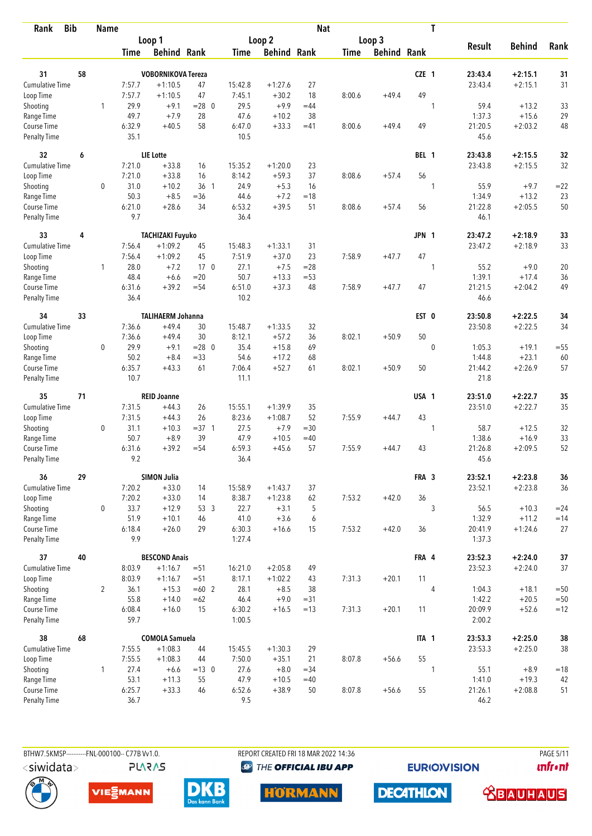| Rank                               | <b>Bib</b> | <b>Name</b>  |                |                           |                 |                |                    | <b>Nat</b>   |             |                    |              | T           |                   |                      |             |
|------------------------------------|------------|--------------|----------------|---------------------------|-----------------|----------------|--------------------|--------------|-------------|--------------------|--------------|-------------|-------------------|----------------------|-------------|
|                                    |            |              |                | Loop 1                    |                 |                | Loop <sub>2</sub>  |              |             | Loop 3             |              |             |                   |                      |             |
|                                    |            |              | Time           | <b>Behind Rank</b>        |                 | Time           | <b>Behind Rank</b> |              | <b>Time</b> | <b>Behind Rank</b> |              |             | <b>Result</b>     | <b>Behind</b>        | Rank        |
| 31                                 | 58         |              |                | <b>VOBORNIKOVA Tereza</b> |                 |                |                    |              |             |                    | CZE 1        |             | 23:43.4           | $+2:15.1$            | 31          |
| Cumulative Time                    |            |              | 7:57.7         | $+1:10.5$                 | 47              | 15:42.8        | $+1:27.6$          | 27           |             |                    |              |             | 23:43.4           | $+2:15.1$            | 31          |
| Loop Time                          |            |              | 7:57.7         | $+1:10.5$                 | 47              | 7:45.1         | $+30.2$            | 18           | 8:00.6      | $+49.4$            | 49           |             |                   |                      |             |
| Shooting                           |            | 1            | 29.9           | $+9.1$                    | $= 28$ 0        | 29.5           | $+9.9$             | $=44$        |             |                    |              | 1           | 59.4              | $+13.2$              | 33          |
| Range Time                         |            |              | 49.7           | $+7.9$                    | 28              | 47.6           | $+10.2$            | 38           |             |                    |              |             | 1:37.3            | $+15.6$              | 29          |
| Course Time                        |            |              | 6:32.9         | $+40.5$                   | 58              | 6:47.0         | $+33.3$            | $=41$        | 8:00.6      | $+49.4$            | 49           |             | 21:20.5           | $+2:03.2$            | 48          |
| <b>Penalty Time</b>                |            |              | 35.1           |                           |                 | 10.5           |                    |              |             |                    |              |             | 45.6              |                      |             |
| 32                                 | 6          |              |                | <b>LIE</b> Lotte          |                 |                |                    |              |             |                    | BEL 1        |             | 23:43.8           | $+2:15.5$            | 32          |
| <b>Cumulative Time</b>             |            |              | 7:21.0         | $+33.8$                   | 16              | 15:35.2        | $+1:20.0$          | 23           |             |                    |              |             | 23:43.8           | $+2:15.5$            | 32          |
| Loop Time                          |            |              | 7:21.0         | $+33.8$                   | 16              | 8:14.2         | $+59.3$            | 37           | 8:08.6      | $+57.4$            | 56           |             |                   |                      |             |
| Shooting                           |            | 0            | 31.0           | $+10.2$                   | 36 1            | 24.9           | $+5.3$             | 16           |             |                    |              | 1           | 55.9              | $+9.7$               | $= 22$      |
| Range Time                         |            |              | 50.3           | $+8.5$                    | $= 36$          | 44.6           | $+7.2$             | $=18$        |             |                    |              |             | 1:34.9            | $+13.2$              | 23          |
| Course Time                        |            |              | 6:21.0         | $+28.6$                   | 34              | 6:53.2         | $+39.5$            | 51           | 8:08.6      | $+57.4$            | 56           |             | 21:22.8           | $+2:05.5$            | 50          |
| Penalty Time                       |            |              | 9.7            |                           |                 | 36.4           |                    |              |             |                    |              |             | 46.1              |                      |             |
| 33                                 | 4          |              |                | <b>TACHIZAKI Fuyuko</b>   |                 |                |                    |              |             |                    | <b>JPN 1</b> |             | 23:47.2           | $+2:18.9$            | 33          |
| <b>Cumulative Time</b>             |            |              | 7:56.4         | $+1:09.2$                 | 45              | 15:48.3        | $+1:33.1$          | 31           |             |                    |              |             | 23:47.2           | $+2:18.9$            | 33          |
| Loop Time                          |            |              | 7:56.4         | $+1:09.2$                 | 45              | 7:51.9         | $+37.0$            | 23           | 7:58.9      | $+47.7$            | 47           |             |                   |                      |             |
| Shooting                           |            | 1            | 28.0           | $+7.2$                    | 17 <sub>0</sub> | 27.1           | $+7.5$             | $=28$        |             |                    |              | 1           | 55.2              | $+9.0$               | 20          |
| Range Time                         |            |              | 48.4<br>6:31.6 | $+6.6$<br>$+39.2$         | $=20$<br>$= 54$ | 50.7           | $+13.3$<br>$+37.3$ | $= 53$<br>48 | 7:58.9      | $+47.7$            | 47           |             | 1:39.1            | $+17.4$<br>$+2:04.2$ | 36<br>49    |
| Course Time<br><b>Penalty Time</b> |            |              | 36.4           |                           |                 | 6:51.0<br>10.2 |                    |              |             |                    |              |             | 21:21.5<br>46.6   |                      |             |
| 34                                 | 33         |              |                | <b>TALIHAERM Johanna</b>  |                 |                |                    |              |             |                    | EST 0        |             | 23:50.8           | $+2:22.5$            | 34          |
| Cumulative Time                    |            |              | 7:36.6         | $+49.4$                   | 30              | 15:48.7        | $+1:33.5$          | 32           |             |                    |              |             | 23:50.8           | $+2:22.5$            | 34          |
| Loop Time                          |            |              | 7:36.6         | $+49.4$                   | 30              | 8:12.1         | $+57.2$            | 36           | 8:02.1      | $+50.9$            | 50           |             |                   |                      |             |
| Shooting                           |            | 0            | 29.9           | $+9.1$                    | $= 28$ 0        | 35.4           | $+15.8$            | 69           |             |                    |              | $\mathbf 0$ | 1:05.3            | $+19.1$              | $= 55$      |
| Range Time                         |            |              | 50.2           | $+8.4$                    | $= 33$          | 54.6           | $+17.2$            | 68           |             |                    |              |             | 1:44.8            | $+23.1$              | 60          |
| Course Time                        |            |              | 6:35.7         | $+43.3$                   | 61              | 7:06.4         | $+52.7$            | 61           | 8:02.1      | $+50.9$            | 50           |             | 21:44.2           | $+2:26.9$            | 57          |
| <b>Penalty Time</b>                |            |              | 10.7           |                           |                 | 11.1           |                    |              |             |                    |              |             | 21.8              |                      |             |
| 35                                 | 71         |              |                | <b>REID Joanne</b>        |                 |                |                    |              |             |                    | USA 1        |             | 23:51.0           | $+2:22.7$            | 35          |
| <b>Cumulative Time</b>             |            |              | 7:31.5         | $+44.3$                   | 26              | 15:55.1        | $+1:39.9$          | 35           |             |                    |              |             | 23:51.0           | $+2:22.7$            | 35          |
| Loop Time                          |            |              | 7:31.5         | $+44.3$                   | 26              | 8:23.6         | $+1:08.7$          | 52           | 7:55.9      | $+44.7$            | 43           |             |                   |                      |             |
| Shooting                           |            | $\mathbf 0$  | 31.1           | $+10.3$                   | $=37.1$         | 27.5           | $+7.9$             | $=30$        |             |                    |              | 1           | 58.7              | $+12.5$              | 32          |
| Range Time                         |            |              | 50.7           | $+8.9$                    | 39              | 47.9           | $+10.5$            | $=40$        |             |                    |              |             | 1:38.6            | $+16.9$              | 33          |
| Course Time                        |            |              | 6:31.6         | $+39.2$                   | $= 54$          | 6:59.3         | $+45.6$            | 57           | 7:55.9      | $+44.7$            | 43           |             | 21:26.8           | $+2:09.5$            | 52          |
| <b>Penalty Time</b>                |            |              | 9.2            |                           |                 | 36.4           |                    |              |             |                    |              |             | 45.6              |                      |             |
| 36                                 | 29         |              |                | <b>SIMON Julia</b>        |                 |                |                    |              |             |                    | FRA 3        |             | 23:52.1           | $+2:23.8$            | 36          |
| <b>Cumulative Time</b>             |            |              | 7:20.2         | $+33.0$                   | 14              | 15:58.9        | $+1:43.7$          | 37           |             |                    |              |             | 23:52.1           | $+2:23.8$            | 36          |
| Loop Time                          |            |              | 7:20.2         | $+33.0$                   | 14              | 8:38.7         | $+1:23.8$          | 62           | 7:53.2      | $+42.0$            | 36           |             |                   |                      |             |
| Shooting                           |            | $\mathbf 0$  | 33.7<br>51.9   | $+12.9$                   | 53 3            | 22.7           | $+3.1$<br>$+3.6$   | 5            |             |                    |              | 3           | 56.5              | $+10.3$              | $= 24$      |
| Range Time<br>Course Time          |            |              | 6:18.4         | $+10.1$<br>$+26.0$        | 46<br>29        | 41.0<br>6:30.3 | $+16.6$            | 6<br>15      | 7:53.2      | $+42.0$            | 36           |             | 1:32.9<br>20:41.9 | $+11.2$<br>$+1:24.6$ | $=14$<br>27 |
| Penalty Time                       |            |              | 9.9            |                           |                 | 1:27.4         |                    |              |             |                    |              |             | 1:37.3            |                      |             |
| 37                                 | 40         |              |                | <b>BESCOND Anais</b>      |                 |                |                    |              |             |                    | FRA 4        |             | 23:52.3           | $+2:24.0$            | 37          |
| <b>Cumulative Time</b>             |            |              | 8:03.9         | $+1:16.7$                 | $= 51$          | 16:21.0        | $+2:05.8$          | 49           |             |                    |              |             | 23:52.3           | $+2:24.0$            | 37          |
| Loop Time                          |            |              | 8:03.9         | $+1:16.7$                 | $=51$           | 8:17.1         | $+1:02.2$          | 43           | 7:31.3      | $+20.1$            | 11           |             |                   |                      |             |
| Shooting                           |            | 2            | 36.1           | $+15.3$                   | $=60$ 2         | 28.1           | $+8.5$             | 38           |             |                    |              | 4           | 1:04.3            | $+18.1$              | $=50$       |
| Range Time                         |            |              | 55.8           | $+14.0$                   | $=62$           | 46.4           | $+9.0$             | $= 31$       |             |                    |              |             | 1:42.2            | $+20.5$              | $=50$       |
| Course Time                        |            |              | 6:08.4         | $+16.0$                   | 15              | 6:30.2         | $+16.5$            | $=13$        | 7:31.3      | $+20.1$            | 11           |             | 20:09.9           | $+52.6$              | $=12$       |
| <b>Penalty Time</b>                |            |              | 59.7           |                           |                 | 1:00.5         |                    |              |             |                    |              |             | 2:00.2            |                      |             |
| 38                                 | 68         |              |                | <b>COMOLA Samuela</b>     |                 |                |                    |              |             |                    | ITA 1        |             | 23:53.3           | $+2:25.0$            | 38          |
| <b>Cumulative Time</b>             |            |              | 7:55.5         | $+1:08.3$                 | 44              | 15:45.5        | $+1:30.3$          | 29           |             |                    |              |             | 23:53.3           | $+2:25.0$            | 38          |
| Loop Time                          |            |              | 7:55.5         | $+1:08.3$                 | 44              | 7:50.0         | $+35.1$            | 21           | 8:07.8      | $+56.6$            | 55           |             |                   |                      |             |
| Shooting                           |            | $\mathbf{1}$ | 27.4           | $+6.6$                    | $= 13 \ 0$      | 27.6           | $+8.0$             | $= 34$       |             |                    |              | 1           | 55.1              | $+8.9$               | $=18$       |
| Range Time<br>Course Time          |            |              | 53.1<br>6:25.7 | $+11.3$<br>$+33.3$        | 55<br>46        | 47.9<br>6:52.6 | $+10.5$<br>$+38.9$ | $=40$<br>50  | 8:07.8      | $+56.6$            | 55           |             | 1:41.0<br>21:26.1 | $+19.3$<br>$+2:08.8$ | 42<br>51    |
| Penalty Time                       |            |              | 36.7           |                           |                 | 9.5            |                    |              |             |                    |              |             | 46.2              |                      |             |
|                                    |            |              |                |                           |                 |                |                    |              |             |                    |              |             |                   |                      |             |

BTHW7.5KMSP-----------FNL-000100-- C77B Vv1.0.

REPORT CREATED FRI 18 MAR 2022 14:36 <sup><sup>9</sup> THE OFFICIAL IBU APP</sup>

**EURIOVISION** 

**PAGE 5/11** *<u><u>Infront</u>*</u>





**PLARAS** 





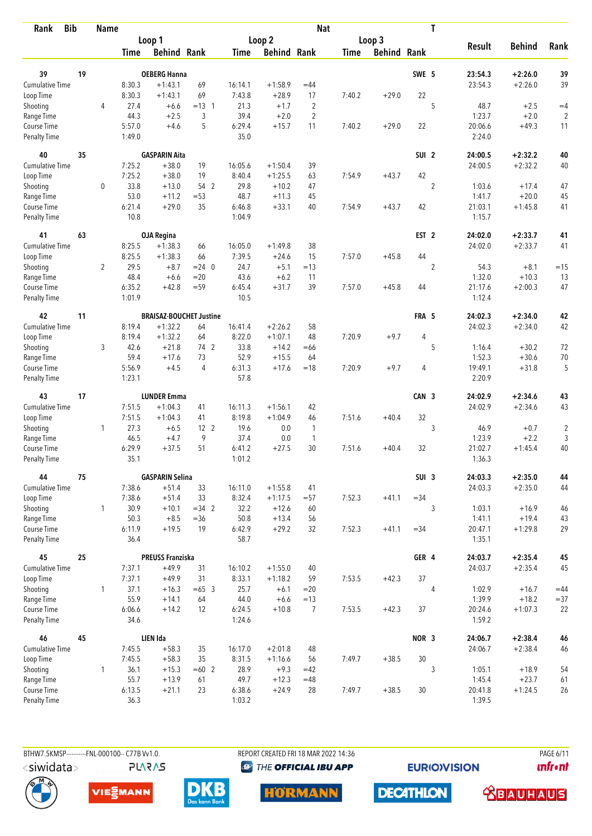| <b>Bib</b><br>Rank          |    | <b>Name</b>    |                |                         |                                |                |                    | <b>Nat</b>     |             |                    |                  | T              |                   |               |                |
|-----------------------------|----|----------------|----------------|-------------------------|--------------------------------|----------------|--------------------|----------------|-------------|--------------------|------------------|----------------|-------------------|---------------|----------------|
|                             |    |                |                | Loop 1                  |                                |                | Loop <sub>2</sub>  |                |             | Loop 3             |                  |                |                   |               |                |
|                             |    |                | <b>Time</b>    | <b>Behind Rank</b>      |                                | <b>Time</b>    | <b>Behind Rank</b> |                | <b>Time</b> | <b>Behind Rank</b> |                  |                | <b>Result</b>     | <b>Behind</b> | Rank           |
| 39                          | 19 |                |                | <b>OEBERG Hanna</b>     |                                |                |                    |                |             |                    | SWE 5            |                | 23:54.3           | $+2:26.0$     | 39             |
| Cumulative Time             |    |                | 8:30.3         | $+1:43.1$               | 69                             | 16:14.1        | $+1:58.9$          | $=44$          |             |                    |                  |                | 23:54.3           | $+2:26.0$     | 39             |
| Loop Time                   |    |                | 8:30.3         | $+1:43.1$               | 69                             | 7:43.8         | $+28.9$            | 17             | 7:40.2      | $+29.0$            | 22               |                |                   |               |                |
| Shooting                    |    | 4              | 27.4           | $+6.6$                  | $= 13 \quad 1$                 | 21.3           | $+1.7$             | $\overline{2}$ |             |                    |                  | 5              | 48.7              | $+2.5$        | $=4$           |
| Range Time                  |    |                | 44.3           | $+2.5$                  | 3                              | 39.4           | $+2.0$             | $\overline{2}$ |             |                    |                  |                | 1:23.7            | $+2.0$        | $\overline{2}$ |
| Course Time                 |    |                | 5:57.0         | $+4.6$                  | 5                              | 6:29.4         | $+15.7$            | 11             | 7:40.2      | $+29.0$            | 22               |                | 20:06.6           | $+49.3$       | 11             |
| <b>Penalty Time</b>         |    |                | 1:49.0         |                         |                                | 35.0           |                    |                |             |                    |                  |                | 2:24.0            |               |                |
| 40                          | 35 |                |                | <b>GASPARIN Aita</b>    |                                |                |                    |                |             |                    | SUI <sub>2</sub> |                | 24:00.5           | $+2:32.2$     | 40             |
| Cumulative Time             |    |                | 7:25.2         | $+38.0$                 | 19                             | 16:05.6        | $+1:50.4$          | 39             |             |                    |                  |                | 24:00.5           | $+2:32.2$     | 40             |
| Loop Time                   |    |                | 7:25.2         | $+38.0$                 | 19                             | 8:40.4         | $+1:25.5$          | 63             | 7:54.9      | $+43.7$            | 42               |                |                   |               |                |
| Shooting                    |    | 0              | 33.8           | $+13.0$                 | 54 2                           | 29.8           | $+10.2$            | 47             |             |                    |                  | $\overline{2}$ | 1:03.6            | $+17.4$       | 47             |
| Range Time                  |    |                | 53.0           | $+11.2$                 | $= 53$                         | 48.7           | $+11.3$            | 45             |             |                    |                  |                | 1:41.7            | $+20.0$       | 45             |
| Course Time                 |    |                | 6:21.4         | $+29.0$                 | 35                             | 6:46.8         | $+33.1$            | 40             | 7:54.9      | $+43.7$            | 42               |                | 21:03.1           | $+1:45.8$     | 41             |
| <b>Penalty Time</b>         |    |                | 10.8           |                         |                                | 1:04.9         |                    |                |             |                    |                  |                | 1:15.7            |               |                |
| 41                          | 63 |                |                | <b>OJA Regina</b>       |                                |                |                    |                |             |                    | EST <sub>2</sub> |                | 24:02.0           | $+2:33.7$     | 41             |
| Cumulative Time             |    |                | 8:25.5         | $+1:38.3$               | 66                             | 16:05.0        | $+1:49.8$          | 38             |             |                    |                  |                | 24:02.0           | $+2:33.7$     | 41             |
| Loop Time                   |    |                | 8:25.5         | $+1:38.3$               | 66                             | 7:39.5         | $+24.6$            | 15             | 7:57.0      | $+45.8$            | 44               |                |                   |               |                |
| Shooting                    |    | $\overline{2}$ | 29.5           | $+8.7$                  | $= 24 \ 0$                     | 24.7           | $+5.1$             | $=13$          |             |                    |                  | $\overline{2}$ | 54.3              | $+8.1$        | $=15$          |
| Range Time                  |    |                | 48.4           | $+6.6$                  | $=20$                          | 43.6           | $+6.2$             | 11             |             |                    |                  |                | 1:32.0            | $+10.3$       | 13             |
| Course Time                 |    |                | 6:35.2         | $+42.8$                 | $= 59$                         | 6:45.4         | $+31.7$            | 39             | 7:57.0      | $+45.8$            | 44               |                | 21:17.6           | $+2:00.3$     | 47             |
| <b>Penalty Time</b>         |    |                | 1:01.9         |                         |                                | 10.5           |                    |                |             |                    |                  |                | 1:12.4            |               |                |
| 42                          | 11 |                |                |                         | <b>BRAISAZ-BOUCHET Justine</b> |                |                    |                |             |                    | FRA 5            |                | 24:02.3           | $+2:34.0$     | 42             |
| Cumulative Time             |    |                | 8:19.4         | $+1:32.2$               | 64                             | 16:41.4        | $+2:26.2$          | 58             |             |                    |                  |                | 24:02.3           | $+2:34.0$     | 42             |
| Loop Time                   |    |                | 8:19.4         | $+1:32.2$               | 64                             | 8:22.0         | $+1:07.1$          | 48             | 7:20.9      | $+9.7$             | 4                |                |                   |               |                |
| Shooting                    |    | 3              | 42.6           | $+21.8$                 | 74 2                           | 33.8           | $+14.2$            | $=66$          |             |                    |                  | 5              | 1:16.4            | $+30.2$       | 72             |
| Range Time                  |    |                | 59.4           | $+17.6$                 | 73                             | 52.9           | $+15.5$            | 64             |             |                    |                  |                | 1:52.3            | $+30.6$       | 70             |
| Course Time                 |    |                | 5:56.9         | $+4.5$                  | $\overline{4}$                 | 6:31.3         | $+17.6$            | $=18$          | 7:20.9      | $+9.7$             | 4                |                | 19:49.1           | $+31.8$       | 5              |
| <b>Penalty Time</b>         |    |                | 1:23.1         |                         |                                | 57.8           |                    |                |             |                    |                  |                | 2:20.9            |               |                |
| 43                          | 17 |                |                | <b>LUNDER Emma</b>      |                                |                |                    |                |             |                    | CAN 3            |                | 24:02.9           | $+2:34.6$     | 43             |
| Cumulative Time             |    |                | 7:51.5         | $+1:04.3$               | 41                             | 16:11.3        | $+1:56.1$          | 42             |             |                    |                  |                | 24:02.9           | $+2:34.6$     | 43             |
| Loop Time                   |    |                | 7:51.5         | $+1:04.3$               | 41                             | 8:19.8         | $+1:04.9$          | 46             | 7:51.6      | $+40.4$            | 32               |                |                   |               |                |
| Shooting                    |    | $\mathbf{1}$   | 27.3           | $+6.5$                  | 12 <sub>2</sub>                | 19.6           | 0.0                | $\overline{1}$ |             |                    |                  | 3              | 46.9              | $+0.7$        | $\sqrt{2}$     |
| Range Time                  |    |                | 46.5           | $+4.7$                  | 9                              | 37.4           | 0.0                | $\mathbf{1}$   |             |                    |                  |                | 1:23.9            | $+2.2$        | 3              |
| Course Time                 |    |                | 6:29.9         | $+37.5$                 | 51                             | 6:41.2         | $+27.5$            | 30             | 7:51.6      | $+40.4$            | 32               |                | 21:02.7           | $+1:45.4$     | 40             |
| <b>Penalty Time</b>         |    |                | 35.1           |                         |                                | 1:01.2         |                    |                |             |                    |                  |                | 1:36.3            |               |                |
| 44                          | 75 |                |                | <b>GASPARIN Selina</b>  |                                |                |                    |                |             |                    | SUI <sub>3</sub> |                | 24:03.3           | $+2:35.0$     | 44             |
| <b>Cumulative Time</b>      |    |                | 7:38.6         | $+51.4$                 | 33                             | 16:11.0        | $+1:55.8$          | 41             |             |                    |                  |                | 24:03.3           | $+2:35.0$     | 44             |
| Loop Time                   |    |                | 7:38.6         | $+51.4$                 | 33                             | 8:32.4         | $+1:17.5$          | $= 57$         | 7:52.3      | $+41.1$            | $= 34$           |                |                   |               |                |
| Shooting                    |    | $\mathbf{1}$   | 30.9           | $+10.1$                 | $=34$ 2                        | 32.2           | $+12.6$            | 60             |             |                    |                  | 3              | 1:03.1            | $+16.9$       | 46             |
| Range Time                  |    |                | 50.3           | $+8.5$                  | $=36$                          | 50.8           | $+13.4$            | 56             |             |                    |                  |                | 1:41.1            | $+19.4$       | 43             |
| Course Time<br>Penalty Time |    |                | 6:11.9<br>36.4 | $+19.5$                 | 19                             | 6:42.9<br>58.7 | $+29.2$            | 32             | 7:52.3      | $+41.1$            | $=34$            |                | 20:47.1<br>1:35.1 | $+1:29.8$     | 29             |
| 45                          | 25 |                |                | <b>PREUSS Franziska</b> |                                |                |                    |                |             |                    | GER 4            |                | 24:03.7           | $+2:35.4$     | 45             |
| <b>Cumulative Time</b>      |    |                | 7:37.1         | $+49.9$                 | 31                             | 16:10.2        | $+1:55.0$          | 40             |             |                    |                  |                | 24:03.7           | $+2:35.4$     | 45             |
| Loop Time                   |    |                | 7:37.1         | $+49.9$                 | 31                             | 8:33.1         | $+1:18.2$          | 59             | 7:53.5      | $+42.3$            | 37               |                |                   |               |                |
| Shooting                    |    | $\mathbf{1}$   | 37.1           | $+16.3$                 | $=65$ 3                        | 25.7           | $+6.1$             | $=20$          |             |                    |                  | 4              | 1:02.9            | $+16.7$       | $=44$          |
| Range Time                  |    |                | 55.9           | $+14.1$                 | 64                             | 44.0           | $+6.6$             | $=13$          |             |                    |                  |                | 1:39.9            | $+18.2$       | $= 37$         |
| Course Time                 |    |                | 6:06.6         | $+14.2$                 | 12                             | 6:24.5         | $+10.8$            | 7              | 7:53.5      | $+42.3$            | 37               |                | 20:24.6           | $+1:07.3$     | 22             |
| Penalty Time                |    |                | 34.6           |                         |                                | 1:24.6         |                    |                |             |                    |                  |                | 1:59.2            |               |                |
| 46                          | 45 |                |                | LIEN Ida                |                                |                |                    |                |             |                    | NOR <sub>3</sub> |                | 24:06.7           | $+2:38.4$     | 46             |
| <b>Cumulative Time</b>      |    |                | 7:45.5         | $+58.3$                 | 35                             | 16:17.0        | $+2:01.8$          | 48             |             |                    |                  |                | 24:06.7           | $+2:38.4$     | 46             |
| Loop Time                   |    |                | 7:45.5         | $+58.3$                 | 35                             | 8:31.5         | $+1:16.6$          | 56             | 7:49.7      | $+38.5$            | $30\,$           |                |                   |               |                |
| Shooting                    |    | 1              | 36.1           | $+15.3$                 | $=60$ 2                        | 28.9           | $+9.3$             | $=42$          |             |                    |                  | 3              | 1:05.1            | $+18.9$       | 54             |
| Range Time                  |    |                | 55.7           | $+13.9$                 | 61                             | 49.7           | $+12.3$            | $=48$          |             |                    |                  |                | 1:45.4            | $+23.7$       | 61             |
| Course Time                 |    |                | 6:13.5         | $+21.1$                 | 23                             | 6:38.6         | $+24.9$            | 28             | 7:49.7      | $+38.5$            | 30               |                | 20:41.8           | $+1:24.5$     | 26             |
| <b>Penalty Time</b>         |    |                | 36.3           |                         |                                | 1:03.2         |                    |                |             |                    |                  |                | 1:39.5            |               |                |

**PLARAS** 

BTHW7.5KMSP----------FNL-000100-- C77B Vv1.0. REPORT CREATED FRI 18 MAR 2022 14:36 PAGE 6/11

<sup><sup>9</sup> THE OFFICIAL IBU APP</sup>

**EURIOVISION** 

*<u><u>Infront</u>*</u>











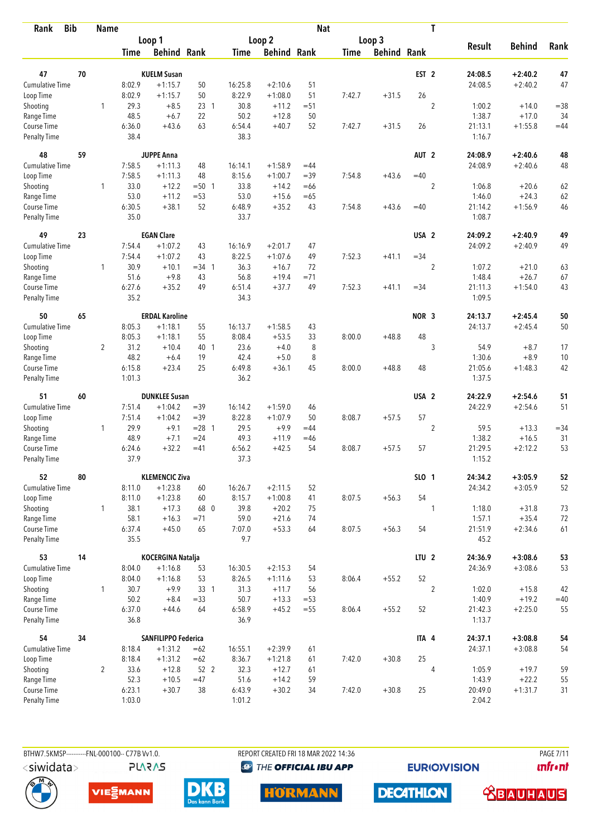| Rank                        | <b>Bib</b> | <b>Name</b>    |                |                            |                 |                |                    | <b>Nat</b> |             |                    |                  | T              |                   |               |        |
|-----------------------------|------------|----------------|----------------|----------------------------|-----------------|----------------|--------------------|------------|-------------|--------------------|------------------|----------------|-------------------|---------------|--------|
|                             |            |                |                | Loop 1                     |                 |                | Loop 2             |            |             | Loop 3             |                  |                |                   |               |        |
|                             |            |                | Time           | <b>Behind Rank</b>         |                 | Time           | <b>Behind Rank</b> |            | <b>Time</b> | <b>Behind Rank</b> |                  |                | <b>Result</b>     | <b>Behind</b> | Rank   |
| 47                          | 70         |                |                | <b>KUELM Susan</b>         |                 |                |                    |            |             |                    | EST <sub>2</sub> |                | 24:08.5           | $+2:40.2$     | 47     |
| <b>Cumulative Time</b>      |            |                | 8:02.9         | $+1:15.7$                  | 50              | 16:25.8        | $+2:10.6$          | 51         |             |                    |                  |                | 24:08.5           | $+2:40.2$     | 47     |
| Loop Time                   |            |                | 8:02.9         | $+1:15.7$                  | 50              | 8:22.9         | $+1:08.0$          | 51         | 7:42.7      | $+31.5$            | 26               |                |                   |               |        |
| Shooting                    |            | 1              | 29.3           | $+8.5$                     | 23 <sub>1</sub> | 30.8           | $+11.2$            | $= 51$     |             |                    |                  | $\overline{2}$ | 1:00.2            | $+14.0$       | $= 38$ |
| Range Time                  |            |                | 48.5           | $+6.7$                     | 22              | 50.2           | $+12.8$            | 50         |             |                    |                  |                | 1:38.7            | $+17.0$       | 34     |
| Course Time                 |            |                | 6:36.0         | $+43.6$                    | 63              | 6:54.4         | $+40.7$            | 52         | 7:42.7      | $+31.5$            | 26               |                | 21:13.1           | $+1:55.8$     | $=44$  |
| <b>Penalty Time</b>         |            |                | 38.4           |                            |                 | 38.3           |                    |            |             |                    |                  |                | 1:16.7            |               |        |
| 48                          | 59         |                |                | <b>JUPPE Anna</b>          |                 |                |                    |            |             |                    | AUT <sub>2</sub> |                | 24:08.9           | $+2:40.6$     | 48     |
| Cumulative Time             |            |                | 7:58.5         | $+1:11.3$                  | 48              | 16:14.1        | $+1:58.9$          | $=44$      |             |                    |                  |                | 24:08.9           | $+2:40.6$     | 48     |
| Loop Time                   |            |                | 7:58.5         | $+1:11.3$                  | 48              | 8:15.6         | $+1:00.7$          | $=39$      | 7:54.8      | $+43.6$            | $=40$            |                |                   |               |        |
| Shooting                    |            | 1              | 33.0           | $+12.2$                    | $= 50$ 1        | 33.8           | $+14.2$            | $=66$      |             |                    |                  | $\overline{2}$ | 1:06.8            | $+20.6$       | 62     |
| Range Time                  |            |                | 53.0           | $+11.2$                    | $= 53$          | 53.0           | $+15.6$            | $=65$      |             |                    |                  |                | 1:46.0            | $+24.3$       | 62     |
| Course Time                 |            |                | 6:30.5         | $+38.1$                    | 52              | 6:48.9         | $+35.2$            | 43         | 7:54.8      | $+43.6$            | $=40$            |                | 21:14.2           | $+1:56.9$     | 46     |
| <b>Penalty Time</b>         |            |                | 35.0           |                            |                 | 33.7           |                    |            |             |                    |                  |                | 1:08.7            |               |        |
| 49                          | 23         |                |                | <b>EGAN Clare</b>          |                 |                |                    |            |             |                    | USA <sub>2</sub> |                | 24:09.2           | $+2:40.9$     | 49     |
| <b>Cumulative Time</b>      |            |                | 7:54.4         | $+1:07.2$                  | 43              | 16:16.9        | $+2:01.7$          | 47         |             |                    |                  |                | 24:09.2           | $+2:40.9$     | 49     |
| Loop Time                   |            |                | 7:54.4         | $+1:07.2$                  | 43              | 8:22.5         | $+1:07.6$          | 49         | 7:52.3      | $+41.1$            | $=34$            |                |                   |               |        |
| Shooting                    |            | 1              | 30.9           | $+10.1$                    | $=34$ 1         | 36.3           | $+16.7$            | 72         |             |                    |                  | $\sqrt{2}$     | 1:07.2            | $+21.0$       | 63     |
| Range Time                  |            |                | 51.6           | $+9.8$                     | 43              | 56.8           | $+19.4$            | $= 71$     |             |                    |                  |                | 1:48.4            | $+26.7$       | 67     |
| Course Time<br>Penalty Time |            |                | 6:27.6<br>35.2 | $+35.2$                    | 49              | 6:51.4<br>34.3 | $+37.7$            | 49         | 7:52.3      | $+41.1$            | $= 34$           |                | 21:11.3<br>1:09.5 | $+1:54.0$     | 43     |
| 50                          | 65         |                |                | <b>ERDAL Karoline</b>      |                 |                |                    |            |             |                    | NOR 3            |                | 24:13.7           | $+2:45.4$     | 50     |
| Cumulative Time             |            |                | 8:05.3         | $+1:18.1$                  | 55              | 16:13.7        | $+1:58.5$          | 43         |             |                    |                  |                | 24:13.7           | $+2:45.4$     | 50     |
| Loop Time                   |            |                | 8:05.3         | $+1:18.1$                  | 55              | 8:08.4         | $+53.5$            | 33         | 8:00.0      | $+48.8$            | 48               |                |                   |               |        |
| Shooting                    |            | 2              | 31.2           | $+10.4$                    | 40 1            | 23.6           | $+4.0$             | 8          |             |                    |                  | 3              | 54.9              | $+8.7$        | 17     |
| Range Time                  |            |                | 48.2           | $+6.4$                     | 19              | 42.4           | $+5.0$             | 8          |             |                    |                  |                | 1:30.6            | $+8.9$        | 10     |
| Course Time                 |            |                | 6:15.8         | $+23.4$                    | 25              | 6:49.8         | $+36.1$            | 45         | 8:00.0      | $+48.8$            | 48               |                | 21:05.6           | $+1:48.3$     | 42     |
| <b>Penalty Time</b>         |            |                | 1:01.3         |                            |                 | 36.2           |                    |            |             |                    |                  |                | 1:37.5            |               |        |
| 51                          | 60         |                |                | <b>DUNKLEE Susan</b>       |                 |                |                    |            |             |                    | USA <sub>2</sub> |                | 24:22.9           | $+2:54.6$     | 51     |
| <b>Cumulative Time</b>      |            |                | 7:51.4         | $+1:04.2$                  | $=39$           | 16:14.2        | $+1:59.0$          | 46         |             |                    |                  |                | 24:22.9           | $+2:54.6$     | 51     |
| Loop Time                   |            |                | 7:51.4         | $+1:04.2$                  | $=39$           | 8:22.8         | $+1:07.9$          | 50         | 8:08.7      | $+57.5$            | 57               |                |                   |               |        |
| Shooting                    |            | 1              | 29.9           | $+9.1$                     | $= 28$ 1        | 29.5           | $+9.9$             | $=44$      |             |                    |                  | $\overline{2}$ | 59.5              | $+13.3$       | $= 34$ |
| Range Time                  |            |                | 48.9           | $+7.1$                     | $= 24$          | 49.3           | $+11.9$            | $=46$      |             |                    |                  |                | 1:38.2            | $+16.5$       | 31     |
| Course Time                 |            |                | 6:24.6         | $+32.2$                    | $=41$           | 6:56.2         | $+42.5$            | 54         | 8:08.7      | $+57.5$            | 57               |                | 21:29.5           | $+2:12.2$     | 53     |
| Penalty Time                |            |                | 37.9           |                            |                 | 37.3           |                    |            |             |                    |                  |                | 1:15.2            |               |        |
| 52                          | 80         |                |                | <b>KLEMENCIC Ziva</b>      |                 |                |                    |            |             |                    | SLO 1            |                | 24:34.2           | $+3:05.9$     | 52     |
| Cumulative Time             |            |                | 8:11.0         | $+1:23.8$                  | 60              | 16:26.7        | $+2:11.5$          | 52         |             |                    |                  |                | 24:34.2           | $+3:05.9$     | 52     |
| Loop Time                   |            |                | 8:11.0         | $+1:23.8$                  | 60              | 8:15.7         | $+1:00.8$          | 41         | 8:07.5      | $+56.3$            | 54               |                |                   |               |        |
| Shooting                    |            | $\mathbf{1}$   | 38.1           | $+17.3$                    | 68 0            | 39.8           | $+20.2$            | 75         |             |                    |                  | 1              | 1:18.0            | $+31.8$       | 73     |
| Range Time                  |            |                | 58.1           | $+16.3$                    | $= 71$          | 59.0           | $+21.6$            | 74         |             |                    |                  |                | 1:57.1            | $+35.4$       | 72     |
| Course Time<br>Penalty Time |            |                | 6:37.4<br>35.5 | $+45.0$                    | 65              | 7:07.0<br>9.7  | $+53.3$            | 64         | 8:07.5      | $+56.3$            | 54               |                | 21:51.9<br>45.2   | $+2:34.6$     | 61     |
| 53                          | 14         |                |                | KOCERGINA Natalja          |                 |                |                    |            |             |                    | LTU <sub>2</sub> |                | 24:36.9           | $+3:08.6$     | 53     |
| <b>Cumulative Time</b>      |            |                | 8:04.0         | $+1:16.8$                  | 53              | 16:30.5        | $+2:15.3$          | 54         |             |                    |                  |                | 24:36.9           | $+3:08.6$     | 53     |
| Loop Time                   |            |                | 8:04.0         | $+1:16.8$                  | 53              | 8:26.5         | $+1:11.6$          | 53         | 8:06.4      | $+55.2$            | 52               |                |                   |               |        |
| Shooting                    |            | 1              | 30.7           | $+9.9$                     | 33 <sup>1</sup> | 31.3           | $+11.7$            | 56         |             |                    |                  | $\overline{2}$ | 1:02.0            | $+15.8$       | 42     |
| Range Time                  |            |                | 50.2           | $+8.4$                     | $= 33$          | 50.7           | $+13.3$            | $= 53$     |             |                    |                  |                | 1:40.9            | $+19.2$       | $=40$  |
| Course Time                 |            |                | 6:37.0         | $+44.6$                    | 64              | 6:58.9         | $+45.2$            | $=55$      | 8:06.4      | $+55.2$            | 52               |                | 21:42.3           | $+2:25.0$     | 55     |
| Penalty Time                |            |                | 36.8           |                            |                 | 36.9           |                    |            |             |                    |                  |                | 1:13.7            |               |        |
| 54                          | 34         |                |                | <b>SANFILIPPO Federica</b> |                 |                |                    |            |             |                    | ITA 4            |                | 24:37.1           | $+3:08.8$     | 54     |
| Cumulative Time             |            |                | 8:18.4         | $+1:31.2$                  | $=62$           | 16:55.1        | $+2:39.9$          | 61         |             |                    |                  |                | 24:37.1           | $+3:08.8$     | 54     |
| Loop Time                   |            |                | 8:18.4         | $+1:31.2$                  | $=62$           | 8:36.7         | $+1:21.8$          | 61         | 7:42.0      | $+30.8$            | 25               |                |                   |               |        |
| Shooting                    |            | $\overline{2}$ | 33.6           | $+12.8$                    | 52 2            | 32.3           | $+12.7$            | 61         |             |                    |                  | $\overline{4}$ | 1:05.9            | $+19.7$       | 59     |
| Range Time                  |            |                | 52.3           | $+10.5$                    | $=47$           | 51.6           | $+14.2$            | 59         |             |                    |                  |                | 1:43.9            | $+22.2$       | 55     |
| Course Time                 |            |                | 6:23.1         | $+30.7$                    | 38              | 6:43.9         | $+30.2$            | 34         | 7:42.0      | $+30.8$            | 25               |                | 20:49.0           | $+1:31.7$     | 31     |
| <b>Penalty Time</b>         |            |                | 1:03.0         |                            |                 | 1:01.2         |                    |            |             |                    |                  |                | 2:04.2            |               |        |

**PLARAS** 

BTHW7.5KMSP----------FNL-000100-- C77B Vv1.0. REPORT CREATED FRI 18 MAR 2022 14:36 PAGE 7/11 <sup><sup>9</sup> THE OFFICIAL IBU APP</sup>

**EURIOVISION** 











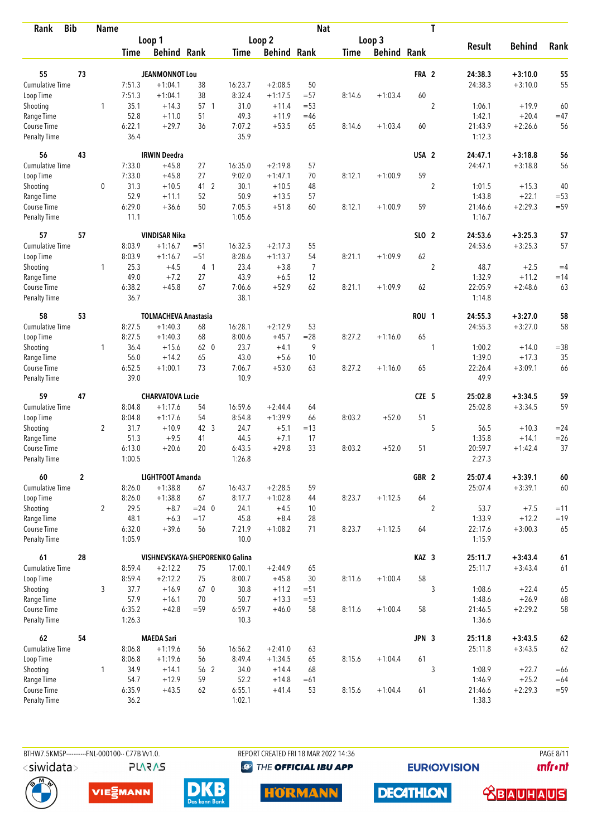| <b>Bib</b><br>Rank                 |                  | <b>Name</b>    |                |                                |                |                |                    | <b>Nat</b>     |             |                    |                  | T              |                   |               |            |
|------------------------------------|------------------|----------------|----------------|--------------------------------|----------------|----------------|--------------------|----------------|-------------|--------------------|------------------|----------------|-------------------|---------------|------------|
|                                    |                  |                |                | Loop 1                         |                |                | Loop 2             |                |             | Loop 3             |                  |                |                   |               |            |
|                                    |                  |                | Time           | <b>Behind Rank</b>             |                | Time           | <b>Behind Rank</b> |                | <b>Time</b> | <b>Behind Rank</b> |                  |                | <b>Result</b>     | <b>Behind</b> | Rank       |
| 55                                 | 73               |                |                | <b>JEANMONNOT Lou</b>          |                |                |                    |                |             |                    | FRA 2            |                | 24:38.3           | $+3:10.0$     | 55         |
| <b>Cumulative Time</b>             |                  |                | 7:51.3         | $+1:04.1$                      | 38             | 16:23.7        | $+2:08.5$          | 50             |             |                    |                  |                | 24:38.3           | $+3:10.0$     | 55         |
|                                    |                  |                | 7:51.3         |                                | 38             | 8:32.4         |                    |                |             |                    | 60               |                |                   |               |            |
| Loop Time                          |                  |                |                | $+1:04.1$                      |                |                | $+1:17.5$          | $= 57$         | 8:14.6      | $+1:03.4$          |                  |                |                   |               |            |
| Shooting                           |                  | 1              | 35.1           | $+14.3$                        | 57 1           | 31.0           | $+11.4$            | $= 53$         |             |                    |                  | $\overline{2}$ | 1:06.1            | $+19.9$       | 60         |
| Range Time                         |                  |                | 52.8           | $+11.0$                        | 51             | 49.3           | $+11.9$            | $=46$          |             |                    |                  |                | 1:42.1            | $+20.4$       | $=47$      |
| Course Time<br><b>Penalty Time</b> |                  |                | 6:22.1<br>36.4 | $+29.7$                        | 36             | 7:07.2<br>35.9 | $+53.5$            | 65             | 8:14.6      | $+1:03.4$          | 60               |                | 21:43.9<br>1:12.3 | $+2:26.6$     | 56         |
| 56                                 | 43               |                |                | <b>IRWIN Deedra</b>            |                |                |                    |                |             |                    | USA <sub>2</sub> |                | 24:47.1           | $+3:18.8$     | 56         |
| Cumulative Time                    |                  |                | 7:33.0         | $+45.8$                        | 27             | 16:35.0        | $+2:19.8$          | 57             |             |                    |                  |                | 24:47.1           | $+3:18.8$     | 56         |
| Loop Time                          |                  |                | 7:33.0         | $+45.8$                        | 27             | 9:02.0         | $+1:47.1$          | 70             | 8:12.1      | $+1:00.9$          | 59               |                |                   |               |            |
| Shooting                           |                  | 0              | 31.3           | $+10.5$                        | 41 2           | 30.1           | $+10.5$            | 48             |             |                    |                  | $\overline{2}$ | 1:01.5            | $+15.3$       | 40         |
| Range Time                         |                  |                | 52.9           | $+11.1$                        | 52             | 50.9           | $+13.5$            | 57             |             |                    |                  |                | 1:43.8            | $+22.1$       | $=53$      |
| Course Time                        |                  |                | 6:29.0         | $+36.6$                        | 50             | 7:05.5         | $+51.8$            | 60             | 8:12.1      | $+1:00.9$          | 59               |                | 21:46.6           | $+2:29.3$     | $= 59$     |
| <b>Penalty Time</b>                |                  |                | 11.1           |                                |                | 1:05.6         |                    |                |             |                    |                  |                | 1:16.7            |               |            |
| 57                                 | 57               |                |                | <b>VINDISAR Nika</b>           |                |                |                    |                |             |                    | SLO 2            |                | 24:53.6           | $+3:25.3$     | 57         |
| <b>Cumulative Time</b>             |                  |                | 8:03.9         | $+1:16.7$                      | $= 51$         | 16:32.5        | $+2:17.3$          | 55             |             |                    |                  |                | 24:53.6           | $+3:25.3$     | 57         |
| Loop Time                          |                  |                | 8:03.9         | $+1:16.7$                      | $= 51$         | 8:28.6         | $+1:13.7$          | 54             | 8:21.1      | $+1:09.9$          | 62               |                |                   |               |            |
| Shooting                           |                  | 1              | 25.3           | $+4.5$                         | 4 <sub>1</sub> | 23.4           | $+3.8$             | $\overline{7}$ |             |                    |                  | $\overline{c}$ | 48.7              | $+2.5$        | $=4$       |
| Range Time                         |                  |                | 49.0           | $+7.2$                         | 27             | 43.9           | $+6.5$             | 12             |             |                    |                  |                | 1:32.9            | $+11.2$       | $=14$      |
| Course Time                        |                  |                | 6:38.2         | $+45.8$                        | 67             | 7:06.6         | $+52.9$            | 62             | 8:21.1      | $+1:09.9$          | 62               |                | 22:05.9           | $+2:48.6$     | 63         |
| <b>Penalty Time</b>                |                  |                | 36.7           |                                |                | 38.1           |                    |                |             |                    |                  |                | 1:14.8            |               |            |
| 58                                 | 53               |                |                | <b>TOLMACHEVA Anastasia</b>    |                |                |                    |                |             |                    | <b>ROU 1</b>     |                | 24:55.3           | $+3:27.0$     | 58         |
| Cumulative Time                    |                  |                | 8:27.5         | $+1:40.3$                      | 68             | 16:28.1        | $+2:12.9$          | 53             |             |                    |                  |                | 24:55.3           | $+3:27.0$     | 58         |
| Loop Time                          |                  |                | 8:27.5         | $+1:40.3$                      | 68             | 8:00.6         | $+45.7$            | $= 28$         | 8:27.2      | $+1:16.0$          | 65               |                |                   |               |            |
| Shooting                           |                  | $\mathbf{1}$   | 36.4           | $+15.6$                        | 62 0           | 23.7           | $+4.1$             | 9              |             |                    |                  | 1              | 1:00.2            | $+14.0$       | $= 38$     |
| Range Time                         |                  |                | 56.0           | $+14.2$                        | 65             | 43.0           | $+5.6$             | 10             |             |                    |                  |                | 1:39.0            | $+17.3$       | 35         |
| Course Time                        |                  |                | 6:52.5         | $+1:00.1$                      | 73             | 7:06.7         | $+53.0$            | 63             | 8:27.2      | $+1:16.0$          | 65               |                | 22:26.4           | $+3:09.1$     | 66         |
| <b>Penalty Time</b>                |                  |                | 39.0           |                                |                | 10.9           |                    |                |             |                    |                  |                | 49.9              |               |            |
| 59                                 | 47               |                |                | <b>CHARVATOVA Lucie</b>        |                |                |                    |                |             |                    | CZE 5            |                | 25:02.8           | $+3:34.5$     | 59         |
| Cumulative Time                    |                  |                | 8:04.8         | $+1:17.6$                      | 54             | 16:59.6        | $+2:44.4$          | 64             |             |                    |                  |                | 25:02.8           | $+3:34.5$     | 59         |
| Loop Time                          |                  |                | 8:04.8         | $+1:17.6$                      | 54             | 8:54.8         | $+1:39.9$          | 66             | 8:03.2      | $+52.0$            | 51               |                |                   |               |            |
| Shooting                           |                  | $\overline{2}$ | 31.7           | $+10.9$                        | 42 3           | 24.7           | $+5.1$             | $=13$          |             |                    |                  | 5              | 56.5              | $+10.3$       | $= 24$     |
| Range Time                         |                  |                | 51.3           | $+9.5$                         | 41             | 44.5           | $+7.1$             | 17             |             |                    |                  |                | 1:35.8            | $+14.1$       | $=26$      |
| Course Time                        |                  |                | 6:13.0         | $+20.6$                        | 20             | 6:43.5         | $+29.8$            | 33             | 8:03.2      | $+52.0$            | 51               |                | 20:59.7           | $+1:42.4$     | 37         |
| <b>Penalty Time</b>                |                  |                | 1:00.5         |                                |                | 1:26.8         |                    |                |             |                    |                  |                | 2:27.3            |               |            |
| 60                                 | $\boldsymbol{2}$ |                |                | LIGHTFOOT Amanda               |                |                |                    |                |             |                    | GBR 2            |                | 25:07.4           | $+3:39.1$     | $\pmb{60}$ |
| <b>Cumulative Time</b>             |                  |                | 8:26.0         | $+1:38.8$                      | 67             | 16:43.7        | $+2:28.5$          | 59             |             |                    |                  |                | 25:07.4           | $+3:39.1$     | $60\,$     |
| Loop Time                          |                  |                | 8:26.0         | $+1:38.8$                      | 67             | 8:17.7         | $+1:02.8$          | 44             | 8:23.7      | $+1:12.5$          | 64               |                |                   |               |            |
| Shooting                           |                  | $\overline{2}$ | 29.5           | $+8.7$                         | $= 24$ 0       | 24.1           | $+4.5$             | 10             |             |                    |                  | $\overline{2}$ | 53.7              | $+7.5$        | $=11$      |
| Range Time                         |                  |                | 48.1           | $+6.3$                         | $=17$          | 45.8           | $+8.4$             | 28             |             |                    |                  |                | 1:33.9            | $+12.2$       | $=19$      |
| Course Time                        |                  |                | 6:32.0         | $+39.6$                        | 56             | 7:21.9         | $+1:08.2$          | 71             | 8:23.7      | $+1:12.5$          | 64               |                | 22:17.6           | $+3:00.3$     | 65         |
| Penalty Time                       |                  |                | 1:05.9         |                                |                | 10.0           |                    |                |             |                    |                  |                | 1:15.9            |               |            |
| 61                                 | 28               |                |                | VISHNEVSKAYA-SHEPORENKO Galina |                |                |                    |                |             |                    | KAZ 3            |                | 25:11.7           | $+3:43.4$     | $61\,$     |
| <b>Cumulative Time</b>             |                  |                | 8:59.4         | $+2:12.2$                      | 75             | 17:00.1        | $+2:44.9$          | 65             |             |                    |                  |                | 25:11.7           | $+3:43.4$     | 61         |
| Loop Time                          |                  |                | 8:59.4         | $+2:12.2$                      | 75             | 8:00.7         | $+45.8$            | 30             | 8:11.6      | $+1:00.4$          | 58               |                |                   |               |            |
| Shooting                           |                  | 3              | 37.7           | $+16.9$                        | 670            | 30.8           | $+11.2$            | $= 51$         |             |                    |                  | 3              | 1:08.6            | $+22.4$       | 65         |
| Range Time                         |                  |                | 57.9           | $+16.1$                        | 70             | 50.7           | $+13.3$            | $= 53$         |             |                    |                  |                | 1:48.6            | $+26.9$       | 68         |
| Course Time                        |                  |                | 6:35.2         | $+42.8$                        | $= 59$         | 6:59.7         | $+46.0$            | 58             | 8:11.6      | $+1:00.4$          | 58               |                | 21:46.5           | $+2:29.2$     | 58         |
| Penalty Time                       |                  |                | 1:26.3         |                                |                | 10.3           |                    |                |             |                    |                  |                | 1:36.6            |               |            |
| 62                                 | 54               |                |                | <b>MAEDA Sari</b>              |                |                |                    |                |             |                    | JPN 3            |                | 25:11.8           | $+3:43.5$     | $62\,$     |
| Cumulative Time                    |                  |                | 8:06.8         | $+1:19.6$                      | 56             | 16:56.2        | $+2:41.0$          | 63             |             |                    |                  |                | 25:11.8           | $+3:43.5$     | 62         |
| Loop Time                          |                  |                | 8:06.8         | $+1:19.6$                      | 56             | 8:49.4         | $+1:34.5$          | 65             | 8:15.6      | $+1:04.4$          | 61               |                |                   |               |            |
| Shooting                           |                  | 1              | 34.9           | $+14.1$                        | 56 2           | 34.0           | $+14.4$            | 68             |             |                    |                  | 3              | 1:08.9            | $+22.7$       | $=66$      |
| Range Time                         |                  |                | 54.7           | $+12.9$                        | 59             | 52.2           | $+14.8$            | $=61$          |             |                    |                  |                | 1:46.9            | $+25.2$       | $=64$      |
| Course Time                        |                  |                | 6:35.9         | $+43.5$                        | 62             | 6:55.1         | $+41.4$            | 53             | 8:15.6      | $+1:04.4$          | 61               |                | 21:46.6           | $+2:29.3$     | $= 59$     |
| <b>Penalty Time</b>                |                  |                | 36.2           |                                |                | 1:02.1         |                    |                |             |                    |                  |                | 1:38.3            |               |            |

**PLARAS** 

BTHW7.5KMSP----------FNL-000100-- C77B Vv1.0. REPORT CREATED FRI 18 MAR 2022 14:36 PAGE 8/11 <sup><sup>9</sup> THE OFFICIAL IBU APP</sup>

**EURIOVISION** 

*<u><u>Infront</u>*</u>







**HORMANN** 

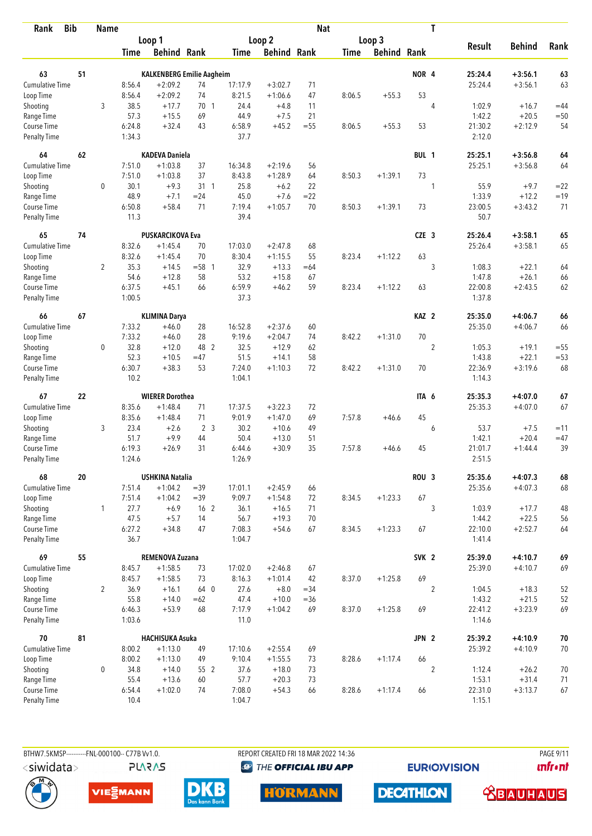| <b>Bib</b><br>Rank     |    | <b>Name</b>    |                  |                                  |                 |                   |                      | <b>Nat</b> |             |                    |                  | T              |               |               |        |
|------------------------|----|----------------|------------------|----------------------------------|-----------------|-------------------|----------------------|------------|-------------|--------------------|------------------|----------------|---------------|---------------|--------|
|                        |    |                |                  | Loop 1                           |                 |                   | Loop 2               |            |             | Loop 3             |                  |                |               |               |        |
|                        |    |                | <b>Time</b>      | <b>Behind Rank</b>               |                 | <b>Time</b>       | <b>Behind Rank</b>   |            | <b>Time</b> | <b>Behind Rank</b> |                  |                | <b>Result</b> | <b>Behind</b> | Rank   |
| 63                     | 51 |                |                  | <b>KALKENBERG Emilie Aagheim</b> |                 |                   |                      |            |             |                    | NOR <sub>4</sub> |                | 25:24.4       | $+3:56.1$     | 63     |
| <b>Cumulative Time</b> |    |                | 8:56.4           | $+2:09.2$                        | 74              | 17:17.9           | $+3:02.7$            | 71         |             |                    |                  |                | 25:24.4       | $+3:56.1$     | 63     |
| Loop Time              |    |                | 8:56.4           | $+2:09.2$                        | 74              | 8:21.5            | $+1:06.6$            | 47         | 8:06.5      | $+55.3$            | 53               |                |               |               |        |
| Shooting               |    | 3              | 38.5             | $+17.7$                          | 70 1            | 24.4              | $+4.8$               | 11         |             |                    |                  | $\overline{4}$ | 1:02.9        | $+16.7$       | $=44$  |
| Range Time             |    |                | 57.3             | $+15.5$                          | 69              | 44.9              | $+7.5$               | 21         |             |                    |                  |                | 1:42.2        | $+20.5$       | $=50$  |
| Course Time            |    |                | 6:24.8           | $+32.4$                          | 43              | 6:58.9            | $+45.2$              | $=55$      | 8:06.5      | $+55.3$            | 53               |                | 21:30.2       | $+2:12.9$     | 54     |
| <b>Penalty Time</b>    |    |                | 1:34.3           |                                  |                 | 37.7              |                      |            |             |                    |                  |                | 2:12.0        |               |        |
| 64                     | 62 |                |                  | <b>KADEVA Daniela</b>            |                 |                   |                      |            |             |                    | BUL 1            |                | 25:25.1       | $+3:56.8$     | 64     |
| Cumulative Time        |    |                | 7:51.0           | $+1:03.8$                        | 37              | 16:34.8           | $+2:19.6$            | 56         |             |                    |                  |                | 25:25.1       | $+3:56.8$     | 64     |
| Loop Time              |    |                | 7:51.0           | $+1:03.8$                        | 37              | 8:43.8            | $+1:28.9$            | 64         | 8:50.3      | $+1:39.1$          | 73               |                |               |               |        |
| Shooting               |    | 0              | 30.1             | $+9.3$                           | $31 \quad 1$    | 25.8              | $+6.2$               | 22         |             |                    |                  | 1              | 55.9          | $+9.7$        | $=22$  |
| Range Time             |    |                | 48.9             | $+7.1$                           | $= 24$          | 45.0              | $+7.6$               | $= 22$     |             |                    |                  |                | 1:33.9        | $+12.2$       | $=19$  |
| Course Time            |    |                | 6:50.8           | $+58.4$                          | 71              | 7:19.4            | $+1:05.7$            | 70         | 8:50.3      | $+1:39.1$          | 73               |                | 23:00.5       | $+3:43.2$     | 71     |
| <b>Penalty Time</b>    |    |                | 11.3             |                                  |                 | 39.4              |                      |            |             |                    |                  |                | 50.7          |               |        |
| 65                     | 74 |                |                  | <b>PUSKARCIKOVA Eva</b>          |                 |                   |                      |            |             |                    | CZE <sub>3</sub> |                | 25:26.4       | $+3:58.1$     | 65     |
| Cumulative Time        |    |                | 8:32.6           | $+1:45.4$                        | 70              | 17:03.0           | $+2:47.8$            | 68         |             |                    |                  |                | 25:26.4       | $+3:58.1$     | 65     |
| Loop Time              |    |                | 8:32.6           | $+1:45.4$                        | 70              | 8:30.4            | $+1:15.5$            | 55         | 8:23.4      | $+1:12.2$          | 63               |                |               |               |        |
| Shooting               |    | $\overline{2}$ | 35.3             | $+14.5$                          | $= 58$ 1        | 32.9              | $+13.3$              | $=64$      |             |                    |                  | 3              | 1:08.3        | $+22.1$       | 64     |
| Range Time             |    |                | 54.6             | $+12.8$                          | 58              | 53.2              | $+15.8$              | 67         |             |                    |                  |                | 1:47.8        | $+26.1$       | 66     |
| Course Time            |    |                | 6:37.5           | $+45.1$                          | 66              | 6:59.9            | $+46.2$              | 59         | 8:23.4      | $+1:12.2$          | 63               |                | 22:00.8       | $+2:43.5$     | 62     |
| <b>Penalty Time</b>    |    |                | 1:00.5           |                                  |                 | 37.3              |                      |            |             |                    |                  |                | 1:37.8        |               |        |
| 66                     | 67 |                |                  | <b>KLIMINA Darya</b>             |                 |                   |                      |            |             |                    | KAZ <sub>2</sub> |                | 25:35.0       | $+4:06.7$     | 66     |
| Cumulative Time        |    |                | 7:33.2           | $+46.0$                          | 28              | 16:52.8           | $+2:37.6$            | 60         |             |                    |                  |                | 25:35.0       | $+4:06.7$     | 66     |
| Loop Time              |    |                | 7:33.2           | $+46.0$                          | 28              | 9:19.6            | $+2:04.7$            | 74         | 8:42.2      | $+1:31.0$          | 70               |                |               |               |        |
| Shooting               |    | 0              | 32.8             | $+12.0$                          | 48 2            | 32.5              | $+12.9$              | 62         |             |                    |                  | $\overline{2}$ | 1:05.3        | $+19.1$       | $=55$  |
| Range Time             |    |                | 52.3             | $+10.5$                          | $=47$           | 51.5              | $+14.1$              | 58         |             |                    |                  |                | 1:43.8        | $+22.1$       | $= 53$ |
| Course Time            |    |                | 6:30.7           | $+38.3$                          | 53              | 7:24.0            | $+1:10.3$            | 72         | 8:42.2      | $+1:31.0$          | 70               |                | 22:36.9       | $+3:19.6$     | 68     |
| <b>Penalty Time</b>    |    |                | 10.2             |                                  |                 | 1:04.1            |                      |            |             |                    |                  |                | 1:14.3        |               |        |
| 67                     | 22 |                |                  | <b>WIERER Dorothea</b>           |                 |                   |                      |            |             |                    | ITA 6            |                | 25:35.3       | $+4:07.0$     | 67     |
| <b>Cumulative Time</b> |    |                | 8:35.6           | $+1:48.4$                        | 71              | 17:37.5           | $+3:22.3$            | 72         |             |                    |                  |                | 25:35.3       | $+4:07.0$     | 67     |
| Loop Time              |    |                | 8:35.6           | $+1:48.4$                        | 71              | 9:01.9            | $+1:47.0$            | 69         | 7:57.8      | $+46.6$            | 45               |                |               |               |        |
| Shooting               |    | 3              | 23.4             | $+2.6$                           | 2 <sub>3</sub>  | 30.2              | $+10.6$              | 49         |             |                    |                  | 6              | 53.7          | $+7.5$        | $=11$  |
| Range Time             |    |                | 51.7             | $+9.9$                           | 44              | 50.4              | $+13.0$              | 51         |             |                    |                  |                | 1:42.1        | $+20.4$       | $=47$  |
| Course Time            |    |                | 6:19.3           | $+26.9$                          | 31              | 6:44.6            | $+30.9$              | 35         | 7:57.8      | $+46.6$            | 45               |                | 21:01.7       | $+1:44.4$     | 39     |
| <b>Penalty Time</b>    |    |                | 1:24.6           |                                  |                 | 1:26.9            |                      |            |             |                    |                  |                | 2:51.5        |               |        |
| 68                     | 20 |                |                  | <b>USHKINA Natalia</b>           |                 |                   |                      |            |             |                    | ROU <sub>3</sub> |                | 25:35.6       | $+4:07.3$     | 68     |
| <b>Cumulative Time</b> |    |                | 7:51.4<br>7:51.4 | $+1:04.2$                        | $=39$<br>$=39$  | 17:01.1<br>9:09.7 | $+2:45.9$            | 66         |             |                    | 67               |                | 25:35.6       | $+4:07.3$     | 68     |
| Loop Time<br>Shooting  |    | $\mathbf{1}$   | 27.7             | $+1:04.2$<br>$+6.9$              | 16 <sub>2</sub> | 36.1              | $+1:54.8$<br>$+16.5$ | 72<br>71   | 8:34.5      | $+1:23.3$          |                  | 3              | 1:03.9        | $+17.7$       | 48     |
| Range Time             |    |                | 47.5             | $+5.7$                           | 14              | 56.7              | $+19.3$              | 70         |             |                    |                  |                | 1:44.2        | $+22.5$       | 56     |
| Course Time            |    |                | 6:27.2           | $+34.8$                          | 47              | 7:08.3            | $+54.6$              | 67         | 8:34.5      | $+1:23.3$          | 67               |                | 22:10.0       | $+2:52.7$     | 64     |
| Penalty Time           |    |                | 36.7             |                                  |                 | 1:04.7            |                      |            |             |                    |                  |                | 1:41.4        |               |        |
| 69                     | 55 |                |                  | REMENOVA Zuzana                  |                 |                   |                      |            |             |                    | SVK <sub>2</sub> |                | 25:39.0       | $+4:10.7$     | 69     |
| <b>Cumulative Time</b> |    |                | 8:45.7           | $+1:58.5$                        | 73              | 17:02.0           | $+2:46.8$            | 67         |             |                    |                  |                | 25:39.0       | $+4:10.7$     | 69     |
| Loop Time              |    |                | 8:45.7           | $+1:58.5$                        | 73              | 8:16.3            | $+1:01.4$            | 42         | 8:37.0      | $+1:25.8$          | 69               |                |               |               |        |
| Shooting               |    | $\overline{2}$ | 36.9             | $+16.1$                          | 64 0            | 27.6              | $+8.0$               | $= 34$     |             |                    |                  | $\overline{2}$ | 1:04.5        | $+18.3$       | 52     |
| Range Time             |    |                | 55.8             | $+14.0$                          | $=62$           | 47.4              | $+10.0$              | $= 36$     |             |                    |                  |                | 1:43.2        | $+21.5$       | 52     |
| Course Time            |    |                | 6:46.3           | $+53.9$                          | 68              | 7:17.9            | $+1:04.2$            | 69         | 8:37.0      | $+1:25.8$          | 69               |                | 22:41.2       | $+3:23.9$     | 69     |
| Penalty Time           |    |                | 1:03.6           |                                  |                 | 11.0              |                      |            |             |                    |                  |                | 1:14.6        |               |        |
| 70                     | 81 |                |                  | <b>HACHISUKA Asuka</b>           |                 |                   |                      |            |             |                    | JPN 2            |                | 25:39.2       | $+4:10.9$     | 70     |
| <b>Cumulative Time</b> |    |                | 8:00.2           | $+1:13.0$                        | 49              | 17:10.6           | $+2:55.4$            | 69         |             |                    |                  |                | 25:39.2       | $+4:10.9$     | 70     |
| Loop Time              |    |                | 8:00.2           | $+1:13.0$                        | 49              | 9:10.4            | $+1:55.5$            | 73         | 8:28.6      | $+1:17.4$          | 66               |                |               |               |        |
| Shooting               |    | 0              | 34.8             | $+14.0$                          | 55 2            | 37.6              | $+18.0$              | 73         |             |                    |                  | $\overline{2}$ | 1:12.4        | $+26.2$       | 70     |
| Range Time             |    |                | 55.4             | $+13.6$                          | 60              | 57.7              | $+20.3$              | 73         |             |                    |                  |                | 1:53.1        | $+31.4$       | 71     |
| Course Time            |    |                | 6:54.4           | $+1:02.0$                        | 74              | 7:08.0            | $+54.3$              | 66         | 8:28.6      | $+1:17.4$          | 66               |                | 22:31.0       | $+3:13.7$     | 67     |
| <b>Penalty Time</b>    |    |                | 10.4             |                                  |                 | 1:04.7            |                      |            |             |                    |                  |                | 1:15.1        |               |        |

**PLARAS** 

BTHW7.5KMSP----------FNL-000100-- C77B Vv1.0. REPORT CREATED FRI 18 MAR 2022 14:36 PAGE 9/11 <sup><sup>9</sup> THE OFFICIAL IBU APP</sup>

**EURIOVISION** 

*<u><u>Infront</u>*</u>









**DECATHLON <u>CBAUHAUS</u>**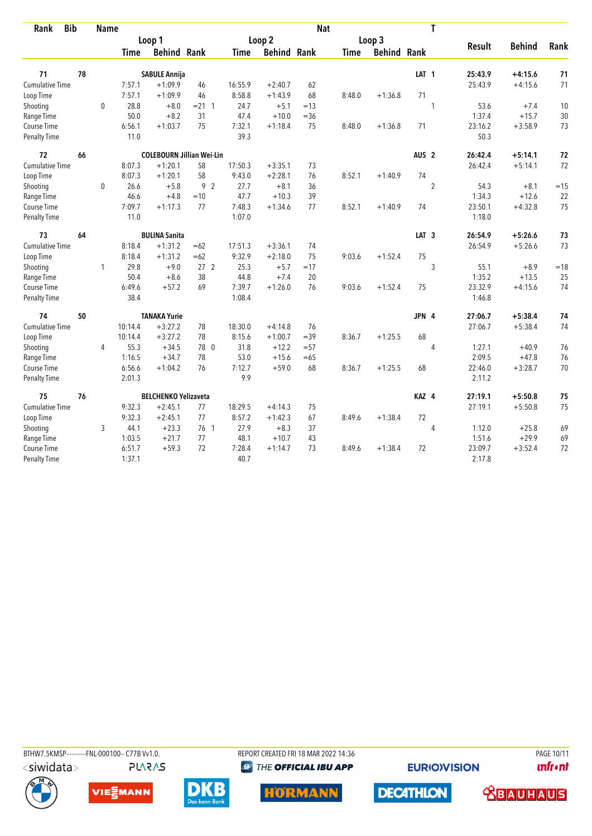| <b>Bib</b><br>Rank     |    | <b>Name</b> |             |                                  |                 |             |                    | <b>Nat</b> |             |                    |                  | T              |         |               |       |
|------------------------|----|-------------|-------------|----------------------------------|-----------------|-------------|--------------------|------------|-------------|--------------------|------------------|----------------|---------|---------------|-------|
|                        |    |             |             | Loop 1                           |                 |             | Loop 2             |            |             | Loop 3             |                  |                |         |               |       |
|                        |    |             | <b>Time</b> | <b>Behind Rank</b>               |                 | <b>Time</b> | <b>Behind Rank</b> |            | <b>Time</b> | <b>Behind Rank</b> |                  |                | Result  | <b>Behind</b> | Rank  |
| 71                     | 78 |             |             | <b>SABULE Annija</b>             |                 |             |                    |            |             |                    | LAT <sub>1</sub> |                | 25:43.9 | $+4:15.6$     | 71    |
| <b>Cumulative Time</b> |    |             | 7:57.1      | $+1:09.9$                        | 46              | 16:55.9     | $+2:40.7$          | 62         |             |                    |                  |                | 25:43.9 | $+4:15.6$     | 71    |
| Loop Time              |    |             | 7:57.1      | $+1:09.9$                        | 46              | 8:58.8      | $+1:43.9$          | 68         | 8:48.0      | $+1:36.8$          | 71               |                |         |               |       |
| Shooting               |    | $\mathbf 0$ | 28.8        | $+8.0$                           | $= 21 \quad 1$  | 24.7        | $+5.1$             | $=13$      |             |                    |                  | 1              | 53.6    | $+7.4$        | 10    |
| Range Time             |    |             | 50.0        | $+8.2$                           | 31              | 47.4        | $+10.0$            | $=$ 36     |             |                    |                  |                | 1:37.4  | $+15.7$       | 30    |
| Course Time            |    |             | 6:56.1      | $+1:03.7$                        | 75              | 7:32.1      | $+1:18.4$          | 75         | 8:48.0      | $+1:36.8$          | 71               |                | 23:16.2 | $+3:58.9$     | 73    |
| <b>Penalty Time</b>    |    |             | 11.0        |                                  |                 | 39.3        |                    |            |             |                    |                  |                | 50.3    |               |       |
| 72                     | 66 |             |             | <b>COLEBOURN Jillian Wei-Lin</b> |                 |             |                    |            |             |                    | AUS <sub>2</sub> |                | 26:42.4 | $+5:14.1$     | 72    |
| <b>Cumulative Time</b> |    |             | 8:07.3      | $+1:20.1$                        | 58              | 17:50.3     | $+3:35.1$          | 73         |             |                    |                  |                | 26:42.4 | $+5:14.1$     | 72    |
| Loop Time              |    |             | 8:07.3      | $+1:20.1$                        | 58              | 9:43.0      | $+2:28.1$          | 76         | 8:52.1      | $+1:40.9$          | 74               |                |         |               |       |
| Shooting               |    | $\mathbf 0$ | 26.6        | $+5.8$                           | 9 <sub>2</sub>  | 27.7        | $+8.1$             | 36         |             |                    |                  | $\overline{2}$ | 54.3    | $+8.1$        | $=15$ |
| Range Time             |    |             | 46.6        | $+4.8$                           | $=10$           | 47.7        | $+10.3$            | 39         |             |                    |                  |                | 1:34.3  | $+12.6$       | 22    |
| Course Time            |    |             | 7:09.7      | $+1:17.3$                        | 77              | 7:48.3      | $+1:34.6$          | 77         | 8:52.1      | $+1:40.9$          | 74               |                | 23:50.1 | $+4:32.8$     | 75    |
| Penalty Time           |    |             | 11.0        |                                  |                 | 1:07.0      |                    |            |             |                    |                  |                | 1:18.0  |               |       |
| 73                     | 64 |             |             | <b>BULINA Sanita</b>             |                 |             |                    |            |             |                    | LAT <sub>3</sub> |                | 26:54.9 | $+5:26.6$     | 73    |
| <b>Cumulative Time</b> |    |             | 8:18.4      | $+1:31.2$                        | $=62$           | 17:51.3     | $+3:36.1$          | 74         |             |                    |                  |                | 26:54.9 | $+5:26.6$     | 73    |
| Loop Time              |    |             | 8:18.4      | $+1:31.2$                        | $=62$           | 9:32.9      | $+2:18.0$          | 75         | 9:03.6      | $+1:52.4$          | 75               |                |         |               |       |
| Shooting               |    | 1           | 29.8        | $+9.0$                           | 27 <sub>2</sub> | 25.3        | $+5.7$             | $=17$      |             |                    |                  | 3              | 55.1    | $+8.9$        | $=18$ |
| Range Time             |    |             | 50.4        | $+8.6$                           | 38              | 44.8        | $+7.4$             | 20         |             |                    |                  |                | 1:35.2  | $+13.5$       | 25    |
| Course Time            |    |             | 6:49.6      | $+57.2$                          | 69              | 7:39.7      | $+1:26.0$          | 76         | 9:03.6      | $+1:52.4$          | 75               |                | 23:32.9 | $+4:15.6$     | 74    |
| <b>Penalty Time</b>    |    |             | 38.4        |                                  |                 | 1:08.4      |                    |            |             |                    |                  |                | 1:46.8  |               |       |
| 74                     | 50 |             |             | <b>TANAKA Yurie</b>              |                 |             |                    |            |             |                    | JPN 4            |                | 27:06.7 | $+5:38.4$     | 74    |
| <b>Cumulative Time</b> |    |             | 10:14.4     | $+3:27.2$                        | 78              | 18:30.0     | $+4:14.8$          | 76         |             |                    |                  |                | 27:06.7 | $+5:38.4$     | 74    |
| Loop Time              |    |             | 10:14.4     | $+3:27.2$                        | 78              | 8:15.6      | $+1:00.7$          | $=39$      | 8:36.7      | $+1:25.5$          | 68               |                |         |               |       |
| Shooting               |    | 4           | 55.3        | $+34.5$                          | 78 0            | 31.8        | $+12.2$            | $= 57$     |             |                    |                  | $\overline{4}$ | 1:27.1  | $+40.9$       | 76    |
| Range Time             |    |             | 1:16.5      | $+34.7$                          | 78              | 53.0        | $+15.6$            | $=65$      |             |                    |                  |                | 2:09.5  | $+47.8$       | 76    |
| Course Time            |    |             | 6:56.6      | $+1:04.2$                        | 76              | 7:12.7      | $+59.0$            | 68         | 8:36.7      | $+1:25.5$          | 68               |                | 22:46.0 | $+3:28.7$     | 70    |
| Penalty Time           |    |             | 2:01.3      |                                  |                 | 9.9         |                    |            |             |                    |                  |                | 2:11.2  |               |       |
| 75                     | 76 |             |             | <b>BELCHENKO Yelizaveta</b>      |                 |             |                    |            |             |                    | KAZ 4            |                | 27:19.1 | $+5:50.8$     | 75    |
| Cumulative Time        |    |             | 9:32.3      | $+2:45.1$                        | 77              | 18:29.5     | $+4:14.3$          | 75         |             |                    |                  |                | 27:19.1 | $+5:50.8$     | 75    |
| Loop Time              |    |             | 9:32.3      | $+2:45.1$                        | 77              | 8:57.2      | $+1:42.3$          | 67         | 8:49.6      | $+1:38.4$          | 72               |                |         |               |       |
| Shooting               |    | 3           | 44.1        | $+23.3$                          | 76 1            | 27.9        | $+8.3$             | 37         |             |                    |                  | 4              | 1:12.0  | $+25.8$       | 69    |
| Range Time             |    |             | 1:03.5      | $+21.7$                          | 77              | 48.1        | $+10.7$            | 43         |             |                    |                  |                | 1:51.6  | $+29.9$       | 69    |
| Course Time            |    |             | 6:51.7      | $+59.3$                          | 72              | 7:28.4      | $+1:14.7$          | 73         | 8:49.6      | $+1:38.4$          | 72               |                | 23:09.7 | $+3:52.4$     | 72    |
| Penalty Time           |    |             | 1:37.1      |                                  |                 | 40.7        |                    |            |             |                    |                  |                | 2:17.8  |               |       |